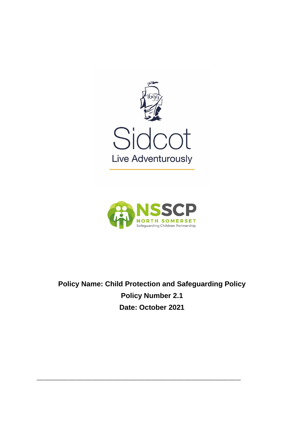



**Policy Name: Child Protection and Safeguarding Policy Policy Number 2.1 Date: October 2021**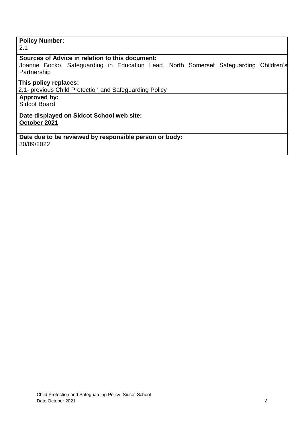## **Policy Number:**

2.1

## **Sources of Advice in relation to this document:**

Joanne Bocko, Safeguarding in Education Lead, North Somerset Safeguarding Children's Partnership

\_\_\_\_\_\_\_\_\_\_\_\_\_\_\_\_\_\_\_\_\_\_\_\_\_\_\_\_\_\_\_\_\_\_\_\_\_\_\_\_\_\_\_\_\_\_\_\_\_\_\_\_\_\_\_\_\_\_\_\_\_\_\_\_\_\_\_\_\_\_\_\_\_

## **This policy replaces:**

2.1- previous Child Protection and Safeguarding Policy

**Approved by:** Sidcot Board

## **Date displayed on Sidcot School web site: October 2021**

**Date due to be reviewed by responsible person or body:**  30/09/2022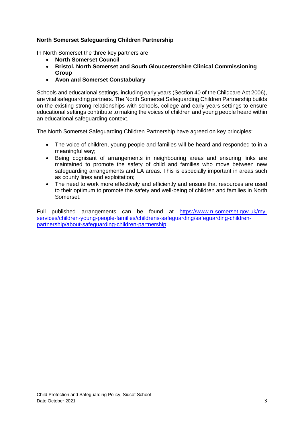## **North Somerset Safeguarding Children Partnership**

In North Somerset the three key partners are:

- **North Somerset Council**
- **Bristol, North Somerset and South Gloucestershire Clinical Commissioning Group**

\_\_\_\_\_\_\_\_\_\_\_\_\_\_\_\_\_\_\_\_\_\_\_\_\_\_\_\_\_\_\_\_\_\_\_\_\_\_\_\_\_\_\_\_\_\_\_\_\_\_\_\_\_\_\_\_\_\_\_\_\_\_\_\_\_\_\_\_\_\_\_\_\_

• **Avon and Somerset Constabulary**

Schools and educational settings, including early years (Section 40 of the Childcare Act 2006), are vital safeguarding partners. The North Somerset Safeguarding Children Partnership builds on the existing strong relationships with schools, college and early years settings to ensure educational settings contribute to making the voices of children and young people heard within an educational safeguarding context.

The North Somerset Safeguarding Children Partnership have agreed on key principles:

- The voice of children, young people and families will be heard and responded to in a meaningful way;
- Being cognisant of arrangements in neighbouring areas and ensuring links are maintained to promote the safety of child and families who move between new safeguarding arrangements and LA areas. This is especially important in areas such as county lines and exploitation;
- The need to work more effectively and efficiently and ensure that resources are used to their optimum to promote the safety and well-being of children and families in North Somerset.

Full published arrangements can be found at [https://www.n-somerset.gov.uk/my](https://www.n-somerset.gov.uk/my-services/children-young-people-families/childrens-safeguarding/safeguarding-children-partnership/about-safeguarding-children-partnership)[services/children-young-people-families/childrens-safeguarding/safeguarding-children](https://www.n-somerset.gov.uk/my-services/children-young-people-families/childrens-safeguarding/safeguarding-children-partnership/about-safeguarding-children-partnership)[partnership/about-safeguarding-children-partnership](https://www.n-somerset.gov.uk/my-services/children-young-people-families/childrens-safeguarding/safeguarding-children-partnership/about-safeguarding-children-partnership)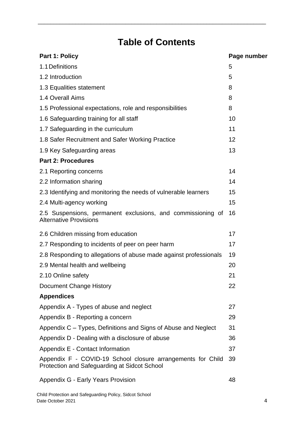# **Table of Contents**

| Part 1: Policy                                                                                              | Page number |
|-------------------------------------------------------------------------------------------------------------|-------------|
| 1.1 Definitions                                                                                             | 5           |
| 1.2 Introduction                                                                                            | 5           |
| 1.3 Equalities statement                                                                                    | 8           |
| 1.4 Overall Aims                                                                                            | 8           |
| 1.5 Professional expectations, role and responsibilities                                                    | 8           |
| 1.6 Safeguarding training for all staff                                                                     | 10          |
| 1.7 Safeguarding in the curriculum                                                                          | 11          |
| 1.8 Safer Recruitment and Safer Working Practice                                                            | 12          |
| 1.9 Key Safeguarding areas                                                                                  | 13          |
| <b>Part 2: Procedures</b>                                                                                   |             |
| 2.1 Reporting concerns                                                                                      | 14          |
| 2.2 Information sharing                                                                                     | 14          |
| 2.3 Identifying and monitoring the needs of vulnerable learners                                             | 15          |
| 2.4 Multi-agency working                                                                                    | 15          |
| 2.5 Suspensions, permanent exclusions, and commissioning of<br><b>Alternative Provisions</b>                | 16          |
| 2.6 Children missing from education                                                                         | 17          |
| 2.7 Responding to incidents of peer on peer harm                                                            | 17          |
| 2.8 Responding to allegations of abuse made against professionals                                           | 19          |
| 2.9 Mental health and wellbeing                                                                             | 20          |
| 2.10 Online safety                                                                                          | 21          |
| Document Change History                                                                                     | 22          |
| <b>Appendices</b>                                                                                           |             |
| Appendix A - Types of abuse and neglect                                                                     | 27          |
| Appendix B - Reporting a concern                                                                            | 29          |
| Appendix C – Types, Definitions and Signs of Abuse and Neglect                                              | 31          |
| Appendix D - Dealing with a disclosure of abuse                                                             | 36          |
| Appendix E - Contact Information                                                                            | 37          |
| Appendix F - COVID-19 School closure arrangements for Child<br>Protection and Safeguarding at Sidcot School | 39          |
| Appendix G - Early Years Provision                                                                          | 48          |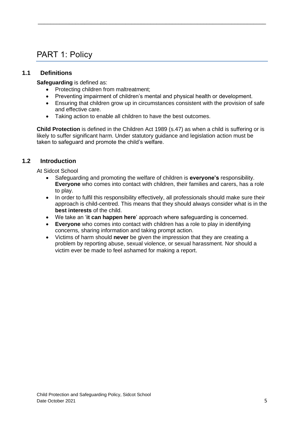# PART 1: Policy

## **1.1 Definitions**

**Safeguarding** is defined as:

- Protecting children from maltreatment;
- Preventing impairment of children's mental and physical health or development.

\_\_\_\_\_\_\_\_\_\_\_\_\_\_\_\_\_\_\_\_\_\_\_\_\_\_\_\_\_\_\_\_\_\_\_\_\_\_\_\_\_\_\_\_\_\_\_\_\_\_\_\_\_\_\_\_\_\_\_\_\_\_\_\_\_\_\_\_\_\_\_\_\_

- Ensuring that children grow up in circumstances consistent with the provision of safe and effective care.
- Taking action to enable all children to have the best outcomes.

**Child Protection** is defined in the Children Act 1989 (s.47) as when a child is suffering or is likely to suffer significant harm. Under statutory guidance and legislation action must be taken to safeguard and promote the child's welfare.

## **1.2 Introduction**

At Sidcot School

- Safeguarding and promoting the welfare of children is **everyone's** responsibility. **Everyone** who comes into contact with children, their families and carers, has a role to play.
- In order to fulfil this responsibility effectively, all professionals should make sure their approach is child-centred. This means that they should always consider what is in the **best interests** of the child.
- We take an '**it can happen here**' approach where safeguarding is concerned.
- **Everyone** who comes into contact with children has a role to play in identifying concerns, sharing information and taking prompt action.
- Victims of harm should **never** be given the impression that they are creating a problem by reporting abuse, sexual violence, or sexual harassment. Nor should a victim ever be made to feel ashamed for making a report.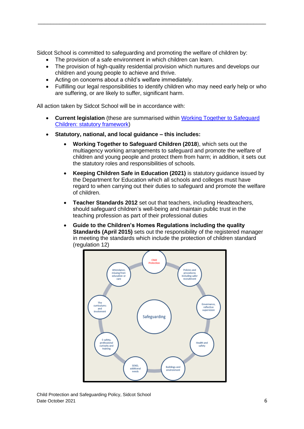Sidcot School is committed to safeguarding and promoting the welfare of children by:

- The provision of a safe environment in which children can learn.
- The provision of high-quality residential provision which nurtures and develops our children and young people to achieve and thrive.

\_\_\_\_\_\_\_\_\_\_\_\_\_\_\_\_\_\_\_\_\_\_\_\_\_\_\_\_\_\_\_\_\_\_\_\_\_\_\_\_\_\_\_\_\_\_\_\_\_\_\_\_\_\_\_\_\_\_\_\_\_\_\_\_\_\_\_\_\_\_\_\_\_

- Acting on concerns about a child's welfare immediately.
- Fulfilling our legal responsibilities to identify children who may need early help or who are suffering, or are likely to suffer, significant harm.

All action taken by Sidcot School will be in accordance with:

- **Current legislation** (these are summarised within [Working Together to Safeguard](https://assets.publishing.service.gov.uk/government/uploads/system/uploads/attachment_data/file/722307/Working_Together_to_Safeguard_Children_Statutory_framework.pdf)  [Children: statutory framework\)](https://assets.publishing.service.gov.uk/government/uploads/system/uploads/attachment_data/file/722307/Working_Together_to_Safeguard_Children_Statutory_framework.pdf)
- **Statutory, national, and local guidance – this includes:**
	- **Working Together to Safeguard Children (2018**), which sets out the multiagency working arrangements to safeguard and promote the welfare of children and young people and protect them from harm; in addition, it sets out the statutory roles and responsibilities of schools.
	- **Keeping Children Safe in Education (2021)** is statutory guidance issued by the Department for Education which all schools and colleges must have regard to when carrying out their duties to safeguard and promote the welfare of children.
	- **Teacher Standards 2012** set out that teachers, including Headteachers, should safeguard children's well-being and maintain public trust in the teaching profession as part of their professional duties
	- **Guide to the Children's Homes Regulations including the quality Standards (April 2015)** sets out the responsibility of the registered manager in meeting the standards which include the protection of children standard (regulation 12)

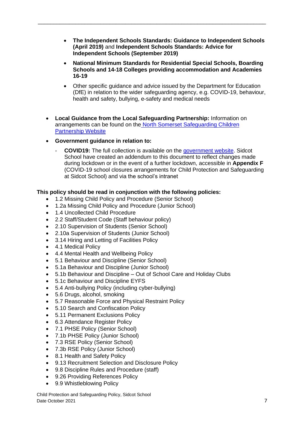• **The Independent Schools Standards: Guidance to Independent Schools (April 2019)** and **Independent Schools Standards: Advice for Independent Schools (September 2019)**

\_\_\_\_\_\_\_\_\_\_\_\_\_\_\_\_\_\_\_\_\_\_\_\_\_\_\_\_\_\_\_\_\_\_\_\_\_\_\_\_\_\_\_\_\_\_\_\_\_\_\_\_\_\_\_\_\_\_\_\_\_\_\_\_\_\_\_\_\_\_\_\_\_

- **National Minimum Standards for Residential Special Schools, Boarding Schools and 14-18 Colleges providing accommodation and Academies 16-19**
- Other specific guidance and advice issued by the Department for Education (DfE) in relation to the wider safeguarding agency, e.g. COVID-19, behaviour, health and safety, bullying, e-safety and medical needs
- **Local Guidance from the Local Safeguarding Partnership:** Information on arrangements can be found on the [North Somerset Safeguarding Children](https://www.n-somerset.gov.uk/my-services/children-young-people-families/childrens-safeguarding/safeguarding-children-partnership/about-safeguarding-children-partnership)  [Partnership Website](https://www.n-somerset.gov.uk/my-services/children-young-people-families/childrens-safeguarding/safeguarding-children-partnership/about-safeguarding-children-partnership)
- **Government guidance in relation to:** 
	- **COVID19:** The full collection is available on the [government website.](https://www.gov.uk/government/collections/guidance-for-schools-coronavirus-covid-19) Sidcot School have created an addendum to this document to reflect changes made during lockdown or in the event of a further lockdown, accessible in **Appendix F**  (COVID-19 school closures arrangements for Child Protection and Safeguarding at Sidcot School) and via the school's intranet

## **This policy should be read in conjunction with the following policies:**

- 1.2 Missing Child Policy and Procedure (Senior School)
- 1.2a Missing Child Policy and Procedure (Junior School)
- 1.4 Uncollected Child Procedure
- 2.2 Staff/Student Code (Staff behaviour policy)
- 2.10 Supervision of Students (Senior School)
- 2.10a Supervision of Students (Junior School)
- 3.14 Hiring and Letting of Facilities Policy
- 4.1 Medical Policy
- 4.4 Mental Health and Wellbeing Policy
- 5.1 Behaviour and Discipline (Senior School)
- 5.1a Behaviour and Discipline (Junior School)
- 5.1b Behaviour and Discipline Out of School Care and Holiday Clubs
- 5.1c Behaviour and Discipline EYFS
- 5.4 Anti-bullying Policy (including cyber-bullying)
- 5.6 Drugs, alcohol, smoking
- 5.7 Reasonable Force and Physical Restraint Policy
- 5.10 Search and Confiscation Policy
- 5.11 Permanent Exclusions Policy
- 6.3 Attendance Register Policy
- 7.1 PHSE Policy (Senior School)
- 7.1b PHSE Policy (Junior School)
- 7.3 RSE Policy (Senior School)
- 7.3b RSE Policy (Junior School)
- 8.1 Health and Safety Policy
- 9.13 Recruitment Selection and Disclosure Policy
- 9.8 Discipline Rules and Procedure (staff)
- 9.26 Providing References Policy
- 9.9 Whistleblowing Policy

Child Protection and Safeguarding Policy, Sidcot School Date October 2021 7 and 2021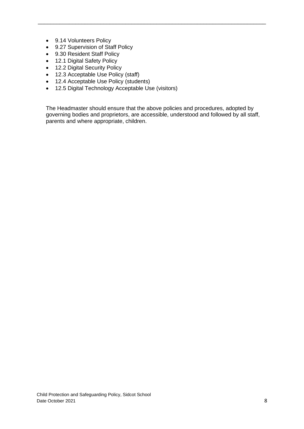- 9.14 Volunteers Policy
- 9.27 Supervision of Staff Policy
- 9.30 Resident Staff Policy
- 12.1 Digital Safety Policy
- 12.2 Digital Security Policy
- 12.3 Acceptable Use Policy (staff)
- 12.4 Acceptable Use Policy (students)
- 12.5 Digital Technology Acceptable Use (visitors)

The Headmaster should ensure that the above policies and procedures, adopted by governing bodies and proprietors, are accessible, understood and followed by all staff, parents and where appropriate, children.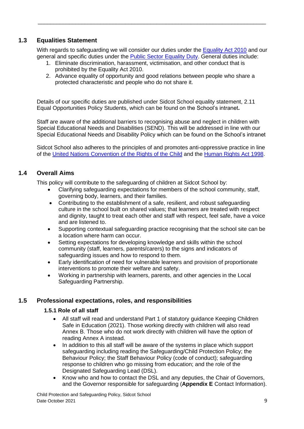## **1.3 Equalities Statement**

With regards to safeguarding we will consider our duties under the [Equality Act 2010](https://www.legislation.gov.uk/ukpga/2010/15/contents) and our general and specific duties under the [Public Sector Equality Duty.](https://www.gov.uk/government/publications/public-sector-equality-duty) General duties include:

\_\_\_\_\_\_\_\_\_\_\_\_\_\_\_\_\_\_\_\_\_\_\_\_\_\_\_\_\_\_\_\_\_\_\_\_\_\_\_\_\_\_\_\_\_\_\_\_\_\_\_\_\_\_\_\_\_\_\_\_\_\_\_\_\_\_\_\_\_\_\_\_\_

- 1. Eliminate discrimination, harassment, victimisation, and other conduct that is prohibited by the Equality Act 2010.
- 2. Advance equality of opportunity and good relations between people who share a protected characteristic and people who do not share it.

Details of our specific duties are published under Sidcot School equality statement, 2.11 Equal Opportunities Policy Students, which can be found on the School's intranet**.**

Staff are aware of the additional barriers to recognising abuse and neglect in children with Special Educational Needs and Disabilities (SEND). This will be addressed in line with our Special Educational Needs and Disability Policy which can be found on the School's intranet

Sidcot School also adheres to the principles of and promotes anti-oppressive practice in line of the [United Nations Convention of the Rights of the Child](https://www.unicef.org.uk/what-we-do/un-convention-child-rights/#:~:text=The%20United%20Nations%20Convention%20on%20the%20Rights%20of,in%20history.%20What%20makes%20the%20UNCRC%20so%20special%3F) and the [Human Rights Act 1998.](https://www.legislation.gov.uk/ukpga/1998/42?timeline=false)

## **1.4 Overall Aims**

This policy will contribute to the safeguarding of children at Sidcot School by:

- Clarifying safeguarding expectations for members of the school community, staff, governing body, learners, and their families.
- Contributing to the establishment of a safe, resilient, and robust safeguarding culture in the school built on shared values; that learners are treated with respect and dignity, taught to treat each other and staff with respect, feel safe, have a voice and are listened to.
- Supporting contextual safeguarding practice recognising that the school site can be a location where harm can occur.
- Setting expectations for developing knowledge and skills within the school community (staff, learners, parents/carers) to the signs and indicators of safeguarding issues and how to respond to them.
- Early identification of need for vulnerable learners and provision of proportionate interventions to promote their welfare and safety.
- Working in partnership with learners, parents, and other agencies in the Local Safeguarding Partnership.

## **1.5 Professional expectations, roles, and responsibilities**

## **1.5.1 Role of all staff**

- All staff will read and understand Part 1 of statutory guidance Keeping Children Safe in Education (2021). Those working directly with children will also read Annex B. Those who do not work directly with children will have the option of reading Annex A instead.
- In addition to this all staff will be aware of the systems in place which support safeguarding including reading the Safeguarding/Child Protection Policy; the Behaviour Policy; the Staff Behaviour Policy (code of conduct); safeguarding response to children who go missing from education; and the role of the Designated Safeguarding Lead (DSL).
- Know who and how to contact the DSL and any deputies, the Chair of Governors, and the Governor responsible for safeguarding (**Appendix E** Contact Information).

Child Protection and Safeguarding Policy, Sidcot School Date October 2021 9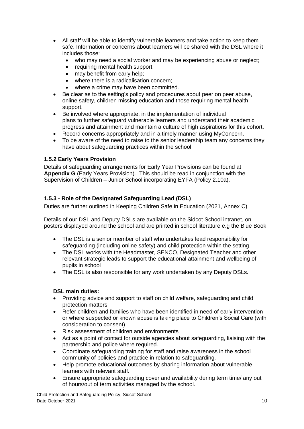• All staff will be able to identify vulnerable learners and take action to keep them safe. Information or concerns about learners will be shared with the DSL where it includes those:

\_\_\_\_\_\_\_\_\_\_\_\_\_\_\_\_\_\_\_\_\_\_\_\_\_\_\_\_\_\_\_\_\_\_\_\_\_\_\_\_\_\_\_\_\_\_\_\_\_\_\_\_\_\_\_\_\_\_\_\_\_\_\_\_\_\_\_\_\_\_\_\_\_

- who may need a social worker and may be experiencing abuse or neglect:
- requiring mental health support:
- may benefit from early help;
- where there is a radicalisation concern;
- where a crime may have been committed.
- Be clear as to the setting's policy and procedures about [peer on peer abuse,](#page-17-0) online safety, children missing education and [those requiring mental health](#page-20-0)  [support.](#page-20-0)
- Be involved where appropriate, in the implementation of individual plans to further safeguard vulnerable learners and understand their academic progress and attainment and maintain a culture of high aspirations for this cohort.
- Record concerns appropriately and in a timely manner using MyConcern.
- To be aware of the need to raise to the senior leadership team any concerns they have about safeguarding practices within the school.

## **1.5.2 Early Years Provision**

Details of safeguarding arrangements for Early Year Provisions can be found at **Appendix G** (Early Years Provision). This should be read in conjunction with the Supervision of Children – Junior School incorporating EYFA (Policy 2.10a).

## **1.5.3 - Role of the Designated Safeguarding Lead (DSL)**

Duties are further outlined in Keeping Children Safe in Education (2021, Annex C)

Details of our DSL and Deputy DSLs are available on the Sidcot School intranet, on posters displayed around the school and are printed in school literature e.g the Blue Book

- The DSL is a senior member of staff who undertakes lead responsibility for safeguarding (including online safety) and child protection within the setting.
- The DSL works with the Headmaster, SENCO, Designated Teacher and other relevant strategic leads to support the educational attainment and wellbeing of pupils in school
- The DSL is also responsible for any work undertaken by any Deputy DSLs.

## **DSL main duties:**

- Providing advice and support to staff on child welfare, safeguarding and child protection matters
- Refer children and families who have been identified in need of early intervention or where suspected or known abuse is taking place to Children's Social Care (with consideration to consent)
- Risk assessment of children and environments
- Act as a point of contact for outside agencies about safeguarding, liaising with the partnership and police where required.
- Coordinate safeguarding training for staff and raise awareness in the school community of policies and practice in relation to safeguarding.
- Help promote educational outcomes by sharing information about vulnerable learners with relevant staff.
- Ensure appropriate safeguarding cover and availability during term time/ any out of hours/out of term activities managed by the school.

Child Protection and Safeguarding Policy, Sidcot School Date October 2021 10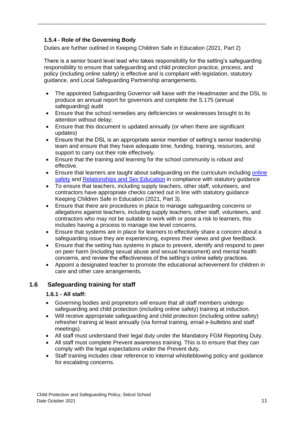## **1.5.4 - Role of the Governing Body**

Duties are further outlined in Keeping Children Safe in Education (2021, Part 2)

There is a senior board level lead who takes responsibility for the setting's safeguarding responsibility to ensure that safeguarding and child protection practice, process, and policy (including online safety) is effective and is compliant with legislation, statutory guidance, and Local Safeguarding Partnership arrangements.

\_\_\_\_\_\_\_\_\_\_\_\_\_\_\_\_\_\_\_\_\_\_\_\_\_\_\_\_\_\_\_\_\_\_\_\_\_\_\_\_\_\_\_\_\_\_\_\_\_\_\_\_\_\_\_\_\_\_\_\_\_\_\_\_\_\_\_\_\_\_\_\_\_

- The appointed Safeguarding Governor will liaise with the Headmaster and the DSL to produce an annual report for governors and complete the S.175 (annual safeguarding) audit
- Ensure that the school remedies any deficiencies or weaknesses brought to its attention without delay;
- Ensure that this document is updated annually (or when there are significant updates)
- Ensure that the DSL is an appropriate senior member of setting's senior leadership team and ensure that they have adequate time, funding, training, resources, and support to carry out their role effectively.
- Ensure that the training and learning for the school community is robust and effective.
- Ensure that learners are taught about safeguarding on the curriculum including online [safety](https://assets.publishing.service.gov.uk/government/uploads/system/uploads/attachment_data/file/811796/Teaching_online_safety_in_school.pdf) and [Relationships and Sex Education](https://assets.publishing.service.gov.uk/government/uploads/system/uploads/attachment_data/file/908013/Relationships_Education__Relationships_and_Sex_Education__RSE__and_Health_Education.pdf) in compliance with statutory guidance
- To ensure that teachers, including supply teachers, other staff, volunteers, and contractors have appropriate checks carried out in line with statutory guidance Keeping Children Safe in Education (2021, Part 3).
- Ensure that there are procedures in place to manage safeguarding concerns or allegations against teachers, including supply teachers, other staff, volunteers, and contractors who may not be suitable to work with or pose a risk to learners, this includes having a process to manage low level concerns.
- Ensure that systems are in place for learners to effectively share a concern about a safeguarding issue they are experiencing, express their views and give feedback.
- Ensure that the setting has systems in place to prevent, identify and respond to peer on peer harm (including sexual abuse and sexual harassment) and mental health concerns, and review the effectiveness of the setting's online safety practices.
- Appoint a designated teacher to promote the educational achievement for children in care and other care arrangements.

## **1.6 Safeguarding training for staff**

## **1.6.1 - All staff:**

- Governing bodies and proprietors will ensure that all staff members undergo safeguarding and child protection (including online safety) training at induction.
- Will receive appropriate safeguarding and child protection (including online safety) refresher training at least annually (via formal training, email e-bulletins and staff meetings).
- All staff must understand their legal duty under the Mandatory FGM Reporting Duty.
- All staff must complete Prevent awareness training. This is to ensure that they can comply with the legal expectations under the Prevent duty.
- Staff training includes clear reference to internal whistleblowing policy and guidance for escalating concerns.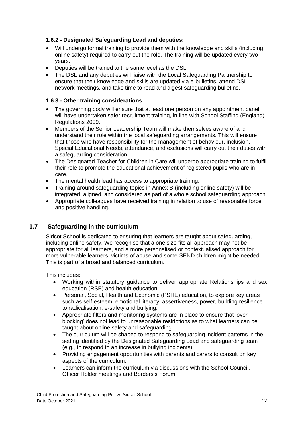## **1.6.2 - Designated Safeguarding Lead and deputies:**

• Will undergo formal training to provide them with the knowledge and skills (including online safety) required to carry out the role. The training will be updated every two years.

\_\_\_\_\_\_\_\_\_\_\_\_\_\_\_\_\_\_\_\_\_\_\_\_\_\_\_\_\_\_\_\_\_\_\_\_\_\_\_\_\_\_\_\_\_\_\_\_\_\_\_\_\_\_\_\_\_\_\_\_\_\_\_\_\_\_\_\_\_\_\_\_\_

- Deputies will be trained to the same level as the DSL.
- The DSL and any deputies will liaise with the Local Safeguarding Partnership to ensure that their knowledge and skills are updated via e-bulletins, attend DSL network meetings, and take time to read and digest safeguarding bulletins.

## **1.6.3 - Other training considerations:**

- The governing body will ensure that at least one person on any appointment panel will have undertaken safer recruitment training, in line with School Staffing (England) Regulations 2009.
- Members of the Senior Leadership Team will make themselves aware of and understand their role within the local safeguarding arrangements. This will ensure that those who have responsibility for the management of behaviour, inclusion, Special Educational Needs, attendance, and exclusions will carry out their duties with a safeguarding consideration.
- The Designated Teacher for Children in Care will undergo appropriate training to fulfil their role to promote the educational achievement of registered pupils who are in care.
- The mental health lead has access to appropriate training.
- Training around safeguarding topics in Annex B (including online safety) will be integrated, aligned, and considered as part of a whole school safeguarding approach.
- Appropriate colleagues have received training in relation to use of reasonable force and positive handling.

## **1.7 Safeguarding in the curriculum**

Sidcot School is dedicated to ensuring that learners are taught about safeguarding, including online safety. We recognise that a one size fits all approach may not be appropriate for all learners, and a more personalised or contextualised approach for more vulnerable learners, victims of abuse and some SEND children might be needed. This is part of a broad and balanced curriculum.

This includes:

- Working within statutory guidance to deliver appropriate Relationships and sex education (RSE) and health education
- Personal, Social, Health and Economic (PSHE) education, to explore key areas such as self-esteem, emotional literacy, assertiveness, power, building resilience to radicalisation, e-safety and bullying.
- Appropriate filters and monitoring systems are in place to ensure that 'overblocking' does not lead to unreasonable restrictions as to what learners can be taught about online safety and safeguarding.
- The curriculum will be shaped to respond to safeguarding incident patterns in the setting identified by the Designated Safeguarding Lead and safeguarding team (e.g., to respond to an increase in bullying incidents).
- Providing engagement opportunities with parents and carers to consult on key aspects of the curriculum.
- Learners can inform the curriculum via discussions with the School Council, Officer Holder meetings and Borders's Forum.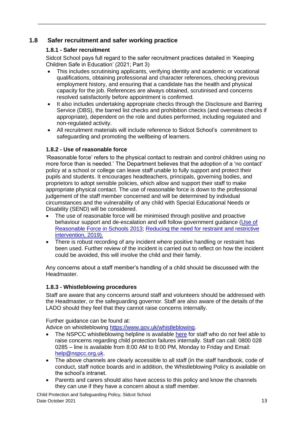## **1.8 Safer recruitment and safer working practice**

## **1.8.1 - Safer recruitment**

Sidcot School pays full regard to the safer recruitment practices detailed in 'Keeping Children Safe in Education' (2021; Part 3)

\_\_\_\_\_\_\_\_\_\_\_\_\_\_\_\_\_\_\_\_\_\_\_\_\_\_\_\_\_\_\_\_\_\_\_\_\_\_\_\_\_\_\_\_\_\_\_\_\_\_\_\_\_\_\_\_\_\_\_\_\_\_\_\_\_\_\_\_\_\_\_\_\_

- This includes scrutinising applicants, verifying identity and academic or vocational qualifications, obtaining professional and character references, checking previous employment history, and ensuring that a candidate has the health and physical capacity for the job. References are always obtained, scrutinised and concerns resolved satisfactorily before appointment is confirmed.
- It also includes undertaking appropriate checks through the Disclosure and Barring Service (DBS), the barred list checks and prohibition checks (and overseas checks if appropriate), dependent on the role and duties performed, including regulated and non-regulated activity.
- All recruitment materials will include reference to Sidcot School's commitment to safeguarding and promoting the wellbeing of learners.

## **1.8.2 - Use of reasonable force**

'Reasonable force' refers to the physical contact to restrain and control children using no more force than is needed.' The Department believes that the adoption of a 'no contact' policy at a school or college can leave staff unable to fully support and protect their pupils and students. It encourages headteachers, principals, governing bodies, and proprietors to adopt sensible policies, which allow and support their staff to make appropriate physical contact. The use of reasonable force is down to the professional judgement of the staff member concerned and will be determined by individual circumstances and the vulnerability of any child with Special Educational Needs or Disability (SEND) will be considered.

- The use of reasonable force will be minimised through positive and proactive behaviour support and de-escalation and will follow government guidance [\(Use of](https://www.gov.uk/government/publications/use-of-reasonable-force-in-schools)  [Reasonable Force in Schools 2013;](https://www.gov.uk/government/publications/use-of-reasonable-force-in-schools) [Reducing the need for restraint and restrictive](https://www.gov.uk/government/publications/reducing-the-need-for-restraint-and-restrictive-intervention)  [intervention, 2019\).](https://www.gov.uk/government/publications/reducing-the-need-for-restraint-and-restrictive-intervention)
- There is robust recording of any incident where positive handling or restraint has been used. Further review of the incident is carried out to reflect on how the incident could be avoided, this will involve the child and their family.

Any concerns about a staff member's handling of a child should be discussed with the Headmaster.

## **1.8.3 - Whistleblowing procedures**

Staff are aware that any concerns around staff and volunteers should be addressed with the Headmaster, or the safeguarding governor. Staff are also aware of the details of the LADO should they feel that they cannot raise concerns internally.

Further guidance can be found at:

Advice on whistleblowing [https://www.gov.uk/whistleblowing.](https://www.gov.uk/whistleblowing)

- The NSPCC whistleblowing helpline is available [here](https://www.nspcc.org.uk/what-you-can-do/report-abuse/dedicated-helplines/whistleblowing-advice-line/) for staff who do not feel able to raise concerns regarding child protection failures internally. Staff can call: 0800 028 0285 – line is available from 8:00 AM to 8:00 PM, Monday to Friday and Email: [help@nspcc.org.uk.](mailto:help@nspcc.org.uk)
- The above channels are clearly accessible to all staff (in the staff handbook, code of conduct, staff notice boards and in addition, the Whistleblowing Policy is available on the school's intranet.
- Parents and carers should also have access to this policy and know the channels they can use if they have a concern about a staff member.

Child Protection and Safeguarding Policy, Sidcot School Date October 2021 13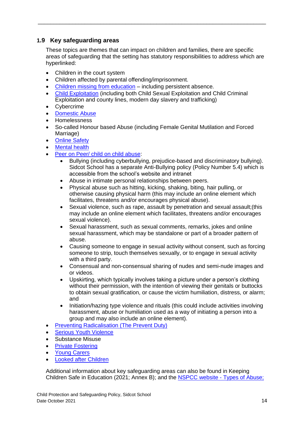## <span id="page-13-0"></span>**1.9 Key safeguarding areas**

These topics are themes that can impact on children and families, there are specific areas of safeguarding that the setting has statutory responsibilities to address which are hyperlinked:

\_\_\_\_\_\_\_\_\_\_\_\_\_\_\_\_\_\_\_\_\_\_\_\_\_\_\_\_\_\_\_\_\_\_\_\_\_\_\_\_\_\_\_\_\_\_\_\_\_\_\_\_\_\_\_\_\_\_\_\_\_\_\_\_\_\_\_\_\_\_\_\_\_

- Children in the court system
- Children affected by parental offending/imprisonment.
- [Children missing from education](#page-17-1) including persistent absence.
- Child Exploitation (including both Child Sexual Exploitation and Child Criminal Exploitation and county lines, modern day slavery and trafficking)
- Cybercrime
- **Domestic Abuse**
- Homelessness
- So-called Honour based Abuse (including Female Genital Mutilation and Forced Marriage)
- [Online Safety](#page-21-0)
- **[Mental health](#page-20-0)**
- Peer on Peer/ [child on child abuse:](#page-17-0)
	- Bullying (including cyberbullying, prejudice-based and discriminatory bullying). Sidcot School has a separate Anti-Bullying policy (Policy Number 5.4) which is accessible from the school's website and intranet
	- Abuse in intimate personal relationships between peers.
	- Physical abuse such as hitting, kicking, shaking, biting, hair pulling, or otherwise causing physical harm (this may include an online element which facilitates, threatens and/or encourages physical abuse).
	- Sexual violence, such as rape, assault by penetration and sexual assault;(this may include an online element which facilitates, threatens and/or encourages sexual violence).
	- Sexual harassment, such as sexual comments, remarks, jokes and online sexual harassment, which may be standalone or part of a broader pattern of abuse.
	- Causing someone to engage in sexual activity without consent, such as forcing someone to strip, touch themselves sexually, or to engage in sexual activity with a third party.
	- Consensual and non-consensual sharing of nudes and semi-nude images and or videos.
	- Upskirting, which typically involves taking a picture under a person's clothing without their permission, with the intention of viewing their genitals or buttocks to obtain sexual gratification, or cause the victim humiliation, distress, or alarm; and
	- Initiation/hazing type violence and rituals (this could include activities involving harassment, abuse or humiliation used as a way of initiating a person into a group and may also include an online element).
- Preventing Radicalisation (The Prevent Duty)
- Serious Youth Violence
- Substance Misuse
- **Private Fostering**
- Young Carers
- Looked after Children

Additional information about key safeguarding areas can also be found in Keeping Children Safe in Education (2021; Annex B); and the [NSPCC website -](https://www.nspcc.org.uk/what-is-child-abuse/types-of-abuse/) Types of Abuse;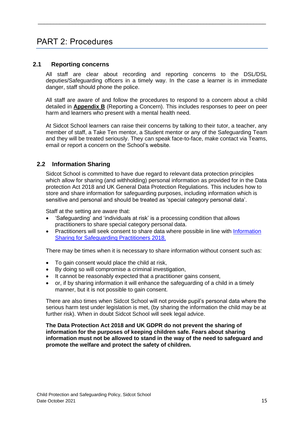# PART 2: Procedures

## <span id="page-14-0"></span>**2.1 Reporting concerns**

All staff are clear about recording and reporting concerns to the DSL/DSL deputies/Safeguarding officers in a timely way. In the case a learner is in immediate danger, staff should phone the police.

\_\_\_\_\_\_\_\_\_\_\_\_\_\_\_\_\_\_\_\_\_\_\_\_\_\_\_\_\_\_\_\_\_\_\_\_\_\_\_\_\_\_\_\_\_\_\_\_\_\_\_\_\_\_\_\_\_\_\_\_\_\_\_\_\_\_\_\_\_\_\_\_\_

All staff are aware of and follow the procedures to respond to a concern about a child detailed in **Appendix B** (Reporting a Concern). This includes responses to peer on peer harm and learners who present with a mental health need.

At Sidcot School learners can raise their concerns by talking to their tutor, a teacher, any member of staff, a Take Ten mentor, a Student mentor or any of the Safeguarding Team and they will be treated seriously. They can speak face-to-face, make contact via Teams, email or report a concern on the School's website.

## **2.2 Information Sharing**

Sidcot School is committed to have due regard to relevant data protection principles which allow for sharing (and withholding) personal information as provided for in the Data protection Act 2018 and UK General Data Protection Regulations. This includes how to store and share information for safeguarding purposes, including information which is sensitive and personal and should be treated as 'special category personal data'.

Staff at the setting are aware that:

- 'Safeguarding' and 'individuals at risk' is a processing condition that allows practitioners to share special category personal data.
- Practitioners will seek consent to share data where possible in line with Information [Sharing for Safeguarding Practitioners 2018.](https://assets.publishing.service.gov.uk/government/uploads/system/uploads/attachment_data/file/721581/Information_sharing_advice_practitioners_safeguarding_services.pdf)

There may be times when it is necessary to share information without consent such as:

- To gain consent would place the child at risk,
- By doing so will compromise a criminal investigation,
- It cannot be reasonably expected that a practitioner gains consent,
- or, if by sharing information it will enhance the safeguarding of a child in a timely manner, but it is not possible to gain consent.

There are also times when Sidcot School will not provide pupil's personal data where the serious harm test under legislation is met, (by sharing the information the child may be at further risk). When in doubt Sidcot School will seek legal advice.

### **The Data Protection Act 2018 and UK GDPR do not prevent the sharing of information for the purposes of keeping children safe. Fears about sharing information must not be allowed to stand in the way of the need to safeguard and promote the welfare and protect the safety of children.**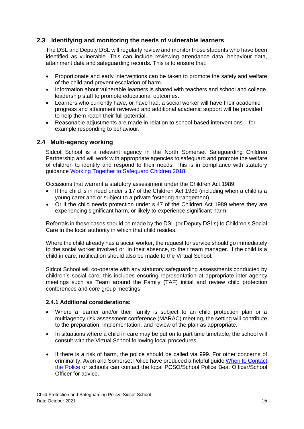## <span id="page-15-0"></span>**2.3 Identifying and monitoring the needs of vulnerable learners**

The DSL and Deputy DSL will regularly review and monitor those students who have been identified as vulnerable. This can include reviewing attendance data, behaviour data, attainment data and safeguarding records. This is to ensure that:

\_\_\_\_\_\_\_\_\_\_\_\_\_\_\_\_\_\_\_\_\_\_\_\_\_\_\_\_\_\_\_\_\_\_\_\_\_\_\_\_\_\_\_\_\_\_\_\_\_\_\_\_\_\_\_\_\_\_\_\_\_\_\_\_\_\_\_\_\_\_\_\_\_

- Proportionate and early interventions can be taken to promote the safety and welfare of the child and prevent escalation of harm.
- Information about vulnerable learners is shared with teachers and school and college leadership staff to promote educational outcomes.
- Learners who currently have, or have had, a social worker will have their academic progress and attainment reviewed and additional academic support will be provided to help them reach their full potential.
- Reasonable adjustments are made in relation to school-based interventions for example responding to behaviour.

## <span id="page-15-1"></span>**2.4 Multi-agency working**

Sidcot School is a relevant agency in the North Somerset Safeguarding Children Partnership and will work with appropriate agencies to safeguard and promote the welfare of children to identify and respond to their needs. This is in compliance with statutory guidance [Working Together to Safeguard Children 2018.](https://assets.publishing.service.gov.uk/government/uploads/system/uploads/attachment_data/file/779401/Working_Together_to_Safeguard-Children.pdf)

Occasions that warrant a statutory assessment under the Children Act 1989:

- If the child is in need under s.17 of the Children Act 1989 (including when a child is a young carer and or subject to a private fostering arrangement).
- Or if the child needs protection under s.47 of the Children Act 1989 where they are experiencing significant harm, or likely to experience significant harm.

Referrals in these cases should be made by the DSL (or Deputy DSLs) to Children's Social Care in the local authority in which that child resides.

Where the child already has a social worker, the request for service should go immediately to the social worker involved or, in their absence, to their team manager. If the child is a child in care, notification should also be made to the Virtual School.

Sidcot School will co-operate with any statutory safeguarding assessments conducted by children's social care: this includes ensuring representation at appropriate inter-agency meetings such as Team around the Family (TAF) initial and review child protection conferences and core group meetings.

## **2.4.1 Additional considerations:**

- Where a learner and/or their family is subject to an child protection plan or a multiagency risk assessment conference (MARAC) meeting, the setting will contribute to the preparation, implementation, and review of the plan as appropriate.
- In situations where a child in care may be put on to part time timetable, the school will consult with the Virtual School following local procedures.
- If there is a risk of harm, the police should be called via 999. For other concerns of criminality, Avon and Somerset Police have produced a helpful guide [When to Contact](https://www.npcc.police.uk/documents/Children%20and%20Young%20people/When%20to%20call%20police%20guidance%20for%20schools%20and%20colleges.pdf)  [the Police](https://www.npcc.police.uk/documents/Children%20and%20Young%20people/When%20to%20call%20police%20guidance%20for%20schools%20and%20colleges.pdf) or schools can contact the local PCSO/School Police Beat Officer/School Officer for advice.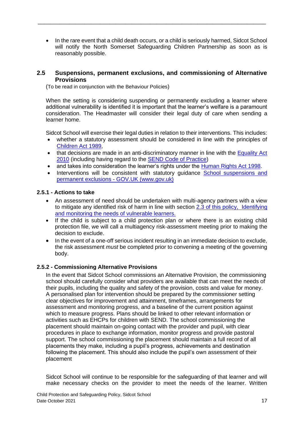• In the rare event that a child death occurs, or a child is seriously harmed, Sidcot School will notify the North Somerset Safeguarding Children Partnership as soon as is reasonably possible.

\_\_\_\_\_\_\_\_\_\_\_\_\_\_\_\_\_\_\_\_\_\_\_\_\_\_\_\_\_\_\_\_\_\_\_\_\_\_\_\_\_\_\_\_\_\_\_\_\_\_\_\_\_\_\_\_\_\_\_\_\_\_\_\_\_\_\_\_\_\_\_\_\_

## **2.5 Suspensions, permanent exclusions, and commissioning of Alternative Provisions**

(To be read in conjunction with the Behaviour Policies)

When the setting is considering suspending or permanently excluding a learner where additional vulnerability is identified it is important that the learner's welfare is a paramount consideration. The Headmaster will consider their legal duty of care when sending a learner home.

Sidcot School will exercise their legal duties in relation to their interventions. This includes:

- whether a statutory assessment should be considered in line with the principles of [Children Act 1989,](https://www.legislation.gov.uk/ukpga/1989/41/contents)
- that decisions are made in an anti-discriminatory manner in line with the Equality Act [2010](https://www.legislation.gov.uk/ukpga/2010/15/contents) (including having regard to the [SEND Code of Practice\)](https://www.gov.uk/government/publications/send-code-of-practice-0-to-25)
- and takes into consideration the learner's rights under the [Human Rights Act 1998.](https://www.legislation.gov.uk/ukpga/1998/42/contents)
- Interventions will be consistent with statutory guidance School suspensions and [permanent exclusions -](https://www.gov.uk/government/publications/school-exclusion) GOV.UK (www.gov.uk)

## **2.5.1 - Actions to take**

- An assessment of need should be undertaken with multi-agency partners with a view to mitigate any identified risk of harm in line with section 2.3 [of this policy, Identifying](#page-15-0)  [and monitoring the needs of vulnerable learners.](#page-15-0)
- If the child is subject to a child protection plan or where there is an existing child protection file, we will call a multiagency risk-assessment meeting prior to making the decision to exclude.
- In the event of a one-off serious incident resulting in an immediate decision to exclude, the risk assessment *must* be completed prior to convening a meeting of the governing body.

## **2.5.2 - Commissioning Alternative Provisions**

In the event that Sidcot School commissions an Alternative Provision, the commissioning school should carefully consider what providers are available that can meet the needs of their pupils, including the quality and safety of the provision, costs and value for money. A personalised plan for intervention should be prepared by the commissioner setting clear objectives for improvement and attainment, timeframes, arrangements for assessment and monitoring progress, and a baseline of the current position against which to measure progress. Plans should be linked to other relevant information or activities such as EHCPs for children with SEND. The school commissioning the placement should maintain on-going contact with the provider and pupil, with clear procedures in place to exchange information, monitor progress and provide pastoral support. The school commissioning the placement should maintain a full record of all placements they make, including a pupil's progress, achievements and destination following the placement. This should also include the pupil's own assessment of their placement

Sidcot School will continue to be responsible for the safeguarding of that learner and will make necessary checks on the provider to meet the needs of the learner. Written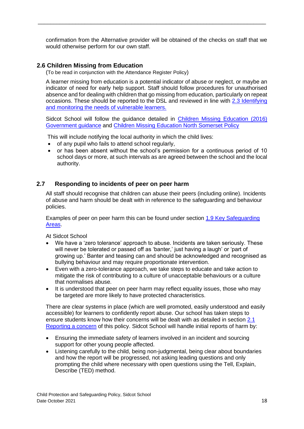confirmation from the Alternative provider will be obtained of the checks on staff that we would otherwise perform for our own staff.

\_\_\_\_\_\_\_\_\_\_\_\_\_\_\_\_\_\_\_\_\_\_\_\_\_\_\_\_\_\_\_\_\_\_\_\_\_\_\_\_\_\_\_\_\_\_\_\_\_\_\_\_\_\_\_\_\_\_\_\_\_\_\_\_\_\_\_\_\_\_\_\_\_

## <span id="page-17-1"></span>**2.6 Children Missing from Education**

(To be read in conjunction with the Attendance Register Policy)

A learner missing from education is a potential indicator of abuse or neglect, or maybe an indicator of need for early help support. Staff should follow procedures for unauthorised absence and for dealing with children that go missing from education, particularly on repeat occasions. These should be reported to the DSL and reviewed in line with [2.3 Identifying](#page-15-0)  [and monitoring the needs of vulnerable learners.](#page-15-0)

Sidcot School will follow the guidance detailed in *[Children Missing Education \(2016\)](https://www.gov.uk/government/publications/children-missing-education)* Government guidance and [Children Missing Education North Somerset Policy](https://www.n-somerset.gov.uk/sites/default/files/2020-02/children%20missing%20education%20policy.pdf)

This will include notifying the local authority in which the child lives:

- of any pupil who fails to attend school regularly,
- or has been absent without the school's permission for a continuous period of 10 school days or more, at such intervals as are agreed between the school and the local authority.

## <span id="page-17-0"></span>**2.7 Responding to incidents of peer on peer harm**

All staff should recognise that children can abuse their peers (including online). Incidents of abuse and harm should be dealt with in reference to the safeguarding and behaviour policies.

Examples of peer on peer harm this can be found under section [1.9 Key Safeguarding](#page-13-0)  [Areas.](#page-13-0)

At Sidcot School

- We have a 'zero tolerance' approach to abuse. Incidents are taken seriously. These will never be tolerated or passed off as 'banter,' just having a laugh' or 'part of growing up.' Banter and teasing can and should be acknowledged and recognised as bullying behaviour and may require proportionate intervention.
- Even with a zero-tolerance approach, we take steps to educate and take action to mitigate the risk of contributing to a culture of unacceptable behaviours or a culture that normalises abuse.
- It is understood that peer on peer harm may reflect equality issues, those who may be targeted are more likely to have protected characteristics.

There are clear systems in place (which are well promoted, easily understood and easily accessible) for learners to confidently report abuse. Our school has taken steps to ensure students know how their concerns will be dealt with as detailed in section [2.1](#page-14-0)  [Reporting a concern](#page-14-0) of this policy. Sidcot School will handle initial reports of harm by:

- Ensuring the immediate safety of learners involved in an incident and sourcing support for other young people affected.
- Listening carefully to the child, being non-judgmental, being clear about boundaries and how the report will be progressed, not asking leading questions and only prompting the child where necessary with open questions using the Tell, Explain, Describe (TED) method.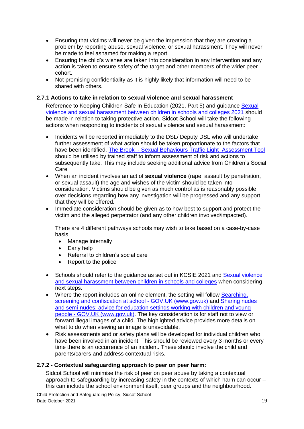• Ensuring that victims will never be given the impression that they are creating a problem by reporting abuse, sexual violence, or sexual harassment. They will never be made to feel ashamed for making a report.

\_\_\_\_\_\_\_\_\_\_\_\_\_\_\_\_\_\_\_\_\_\_\_\_\_\_\_\_\_\_\_\_\_\_\_\_\_\_\_\_\_\_\_\_\_\_\_\_\_\_\_\_\_\_\_\_\_\_\_\_\_\_\_\_\_\_\_\_\_\_\_\_\_

- Ensuring the child's wishes are taken into consideration in any intervention and any action is taken to ensure safety of the target and other members of the wider peer cohort.
- Not promising confidentiality as it is highly likely that information will need to be shared with others.

## **2.7.1 Actions to take in relation to sexual violence and sexual harassment**

Reference to Keeping Children Safe In Education (2021, Part 5) and quidance Sexual [violence and sexual harassment between children in schools and colleges 2021](https://www.gov.uk/government/publications/sexual-violence-and-sexual-harassment-between-children-in-schools-and-colleges) should be made in relation to taking protective action. Sidcot School will take the following actions when responding to incidents of sexual violence and sexual harassment:

- Incidents will be reported immediately to the DSL/ Deputy DSL who will undertake further assessment of what action should be taken proportionate to the factors that have been identified. The Brook - [Sexual Behaviours Traffic Light Assessment Tool](https://www.brook.org.uk/training/wider-professional-training/sexual-behaviours-traffic-light-tool/) should be utilised by trained staff to inform assessment of risk and actions to subsequently take. This may include seeking additional advice from Children's Social Care
- When an incident involves an act of **sexual violence** (rape, assault by penetration, or sexual assault) the age and wishes of the victim should be taken into consideration. Victims should be given as much control as is reasonably possible over decisions regarding how any investigation will be progressed and any support that they will be offered.
- Immediate consideration should be given as to how best to support and protect the victim and the alleged perpetrator (and any other children involved/impacted).

There are 4 different pathways schools may wish to take based on a case-by-case basis

- Manage internally
- Early help
- Referral to children's social care
- Report to the police
- Schools should refer to the guidance as set out in KCSIE 2021 and Sexual violence and sexual harassment [between children in schools and colleges](https://assets.publishing.service.gov.uk/government/uploads/system/uploads/attachment_data/file/719902/Sexual_violence_and_sexual_harassment_between_children_in_schools_and_colleges.pdf) when considering next steps.
- Where the report includes an online element, the setting will follow Searching, screening [and confiscation at school -](https://www.gov.uk/government/publications/searching-screening-and-confiscation) GOV.UK (www.gov.uk) and Sharing nudes [and semi-nudes: advice for education settings working with children and young](https://www.gov.uk/government/publications/sharing-nudes-and-semi-nudes-advice-for-education-settings-working-with-children-and-young-people)  people - [GOV.UK \(www.gov.uk\).](https://www.gov.uk/government/publications/sharing-nudes-and-semi-nudes-advice-for-education-settings-working-with-children-and-young-people) The key consideration is for staff not to view or forward illegal images of a child. The highlighted advice provides more details on what to do when viewing an image is unavoidable.
- Risk assessments and or safety plans will be developed for individual children who have been involved in an incident. This should be reviewed every 3 months or every time there is an occurrence of an incident. These should involve the child and parents/carers and address contextual risks.

## **2.7.2 - Contextual safeguarding approach to peer on peer harm:**

Sidcot School will minimise the risk of peer on peer abuse by taking a contextual approach to safeguarding by increasing safety in the contexts of which harm can occur – this can include the school environment itself, peer groups and the neighbourhood.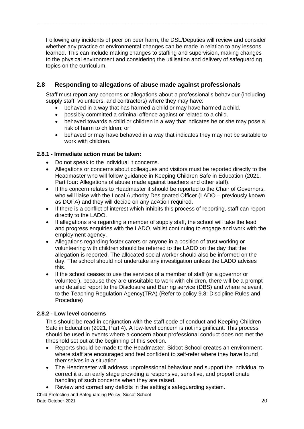Following any incidents of peer on peer harm, the DSL/Deputies will review and consider whether any practice or environmental changes can be made in relation to any lessons learned. This can include making changes to staffing and supervision, making changes to the physical environment and considering the utilisation and delivery of safeguarding topics on the curriculum.

\_\_\_\_\_\_\_\_\_\_\_\_\_\_\_\_\_\_\_\_\_\_\_\_\_\_\_\_\_\_\_\_\_\_\_\_\_\_\_\_\_\_\_\_\_\_\_\_\_\_\_\_\_\_\_\_\_\_\_\_\_\_\_\_\_\_\_\_\_\_\_\_\_

## **2.8 Responding to allegations of abuse made against professionals**

Staff must report any concerns or allegations about a professional's behaviour (including supply staff, volunteers, and contractors) where they may have:

- behaved in a way that has harmed a child or may have harmed a child.
- possibly committed a criminal offence against or related to a child.
- behaved towards a child or children in a way that indicates he or she may pose a risk of harm to children; or
- behaved or may have behaved in a way that indicates they may not be suitable to work with children.

## **2.8.1 - Immediate action must be taken:**

- Do not speak to the individual it concerns.
- Allegations or concerns about colleagues and visitors must be reported directly to the Headmaster who will follow guidance in Keeping Children Safe in Education (2021, Part four: Allegations of abuse made against teachers and other staff).
- If the concern relates to Headmaster it should be reported to the Chair of Governors, who will liaise with the Local Authority Designated Officer (LADO – previously known as DOFA) and they will decide on any acAtion required.
- If there is a conflict of interest which inhibits this process of reporting, staff can report directly to the LADO.
- If allegations are regarding a member of supply staff, the school will take the lead and progress enquiries with the LADO, whilst continuing to engage and work with the employment agency.
- Allegations regarding foster carers or anyone in a position of trust working or volunteering with children should be referred to the LADO on the day that the allegation is reported. The allocated social worker should also be informed on the day. The school should not undertake any investigation unless the LADO advises this.
- If the school ceases to use the services of a member of staff (or a governor or volunteer), because they are unsuitable to work with children, there will be a prompt and detailed report to the Disclosure and Barring service (DBS) and where relevant, to the Teaching Regulation Agency(TRA) (Refer to policy 9.8: Discipline Rules and Procedure)

## **2.8.2 - Low level concerns**

This should be read in conjunction with the staff code of conduct and Keeping Children Safe in Education (2021, Part 4). A low-level concern is not insignificant. This process should be used in events where a concern about professional conduct does not met the threshold set out at the beginning of this section.

- Reports should be made to the Headmaster. Sidcot School creates an environment where staff are encouraged and feel confident to self-refer where they have found themselves in a situation.
- The Headmaster will address unprofessional behaviour and support the individual to correct it at an early stage providing a responsive, sensitive, and proportionate handling of such concerns when they are raised.
- Review and correct any deficits in the setting's safeguarding system.

Child Protection and Safeguarding Policy, Sidcot School Date October 2021 20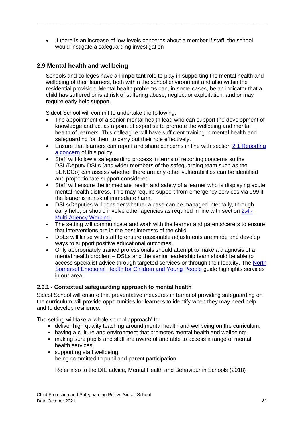• If there is an increase of low levels concerns about a member if staff, the school would instigate a safeguarding investigation

\_\_\_\_\_\_\_\_\_\_\_\_\_\_\_\_\_\_\_\_\_\_\_\_\_\_\_\_\_\_\_\_\_\_\_\_\_\_\_\_\_\_\_\_\_\_\_\_\_\_\_\_\_\_\_\_\_\_\_\_\_\_\_\_\_\_\_\_\_\_\_\_\_

## <span id="page-20-0"></span>**2.9 Mental health and wellbeing**

Schools and colleges have an important role to play in supporting the mental health and wellbeing of their learners, both within the school environment and also within the residential provision. Mental health problems can, in some cases, be an indicator that a child has suffered or is at risk of suffering abuse, neglect or exploitation, and or may require early help support.

Sidcot School will commit to undertake the following.

- The appointment of a senior mental health lead who can support the development of knowledge and act as a point of expertise to promote the wellbeing and mental health of learners. This colleague will have sufficient training in mental health and safeguarding for them to carry out their role effectively.
- Ensure that learners can report and share concerns in line with section 2.1 Reporting [a concern](#page-14-0) of this policy.
- Staff will follow a safeguarding process in terms of reporting concerns so the DSL/Deputy DSLs (and wider members of the safeguarding team such as the SENDCo) can assess whether there are any other vulnerabilities can be identified and proportionate support considered.
- Staff will ensure the immediate health and safety of a learner who is displaying acute mental health distress. This may require support from emergency services via 999 if the leaner is at risk of immediate harm.
- DSLs/Deputies will consider whether a case can be managed internally, through early help, or should involve other agencies as required in line with section [2.4 -](#page-15-1) [Multi-Agency Working.](#page-15-1)
- The setting will communicate and work with the learner and parents/carers to ensure that interventions are in the best interests of the child.
- DSLs will liaise with staff to ensure reasonable adjustments are made and develop ways to support positive educational outcomes.
- Only appropriately trained professionals should attempt to make a diagnosis of a mental health problem – DSLs and the senior leadership team should be able to access specialist advice through targeted services or through their locality. The [North](https://bnssgccg-media.ams3.cdn.digitaloceanspaces.com/attachments/NS_EH_Directory_for_CYP_Dec_2020.pdf)  [Somerset Emotional Health for Children and Young People](https://bnssgccg-media.ams3.cdn.digitaloceanspaces.com/attachments/NS_EH_Directory_for_CYP_Dec_2020.pdf) guide highlights services in our area.

## **2.9.1 - Contextual safeguarding approach to mental health**

Sidcot School will ensure that preventative measures in terms of providing safeguarding on the curriculum will provide opportunities for learners to identify when they may need help, and to develop resilience.

The setting will take a 'whole school approach' to:

- deliver high quality teaching around mental health and wellbeing on the curriculum.
- having a culture and environment that promotes mental health and wellbeing;
- making sure pupils and staff are aware of and able to access a range of mental health services;
- supporting staff wellbeing being committed to pupil and parent participation

Refer also to the DfE advice, Mental Health and Behaviour in Schools (2018)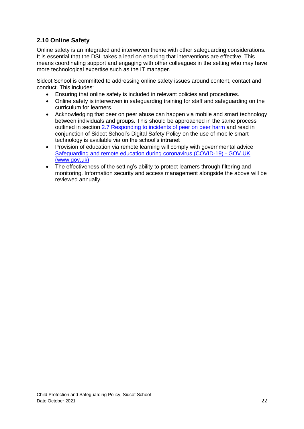## <span id="page-21-0"></span>**2.10 Online Safety**

Online safety is an integrated and interwoven theme with other safeguarding considerations. It is essential that the DSL takes a lead on ensuring that interventions are effective. This means coordinating support and engaging with other colleagues in the setting who may have more technological expertise such as the IT manager.

\_\_\_\_\_\_\_\_\_\_\_\_\_\_\_\_\_\_\_\_\_\_\_\_\_\_\_\_\_\_\_\_\_\_\_\_\_\_\_\_\_\_\_\_\_\_\_\_\_\_\_\_\_\_\_\_\_\_\_\_\_\_\_\_\_\_\_\_\_\_\_\_\_

Sidcot School is committed to addressing online safety issues around content, contact and conduct. This includes:

- Ensuring that online safety is included in relevant policies and procedures.
- Online safety is interwoven in safeguarding training for staff and safeguarding on the curriculum for learners.
- Acknowledging that peer on peer abuse can happen via mobile and smart technology between individuals and groups. This should be approached in the same process outlined in section [2.7 Responding to incidents of peer on peer harm](#page-17-0) and read in conjunction of Sidcot School's Digital Safety Policy on the use of mobile smart technology is available via on the school's intranet
- Provision of education via remote learning will comply with governmental advice [Safeguarding and remote education during coronavirus \(COVID-19\) -](https://www.gov.uk/guidance/safeguarding-and-remote-education-during-coronavirus-covid-19) GOV.UK [\(www.gov.uk\)](https://www.gov.uk/guidance/safeguarding-and-remote-education-during-coronavirus-covid-19)
- The effectiveness of the setting's ability to protect learners through filtering and monitoring. Information security and access management alongside the above will be reviewed annually.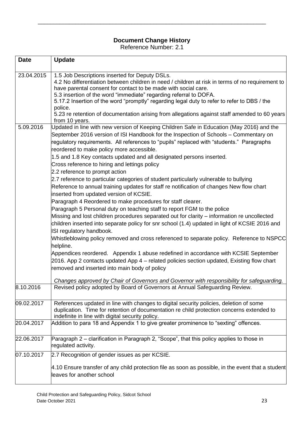## **Document Change History**

\_\_\_\_\_\_\_\_\_\_\_\_\_\_\_\_\_\_\_\_\_\_\_\_\_\_\_\_\_\_\_\_\_\_\_\_\_\_\_\_\_\_\_\_\_\_\_\_\_\_\_\_\_\_\_\_\_\_\_\_\_\_\_\_\_\_\_\_\_\_\_\_\_

Reference Number: 2.1

| <b>Date</b> | <b>Update</b>                                                                                                                                                                                                                                                                                                                                                                                                                                                                                                                                                                                                                                                                                                                                                                                                                                                                                                                                                                                                                                                                                                                                                                                                                                                                                                                                                                                                                                                                                                                              |
|-------------|--------------------------------------------------------------------------------------------------------------------------------------------------------------------------------------------------------------------------------------------------------------------------------------------------------------------------------------------------------------------------------------------------------------------------------------------------------------------------------------------------------------------------------------------------------------------------------------------------------------------------------------------------------------------------------------------------------------------------------------------------------------------------------------------------------------------------------------------------------------------------------------------------------------------------------------------------------------------------------------------------------------------------------------------------------------------------------------------------------------------------------------------------------------------------------------------------------------------------------------------------------------------------------------------------------------------------------------------------------------------------------------------------------------------------------------------------------------------------------------------------------------------------------------------|
|             |                                                                                                                                                                                                                                                                                                                                                                                                                                                                                                                                                                                                                                                                                                                                                                                                                                                                                                                                                                                                                                                                                                                                                                                                                                                                                                                                                                                                                                                                                                                                            |
| 23.04.2015  | 1.5 Job Descriptions inserted for Deputy DSLs.<br>4.2 No differentiation between children in need / children at risk in terms of no requirement to<br>have parental consent for contact to be made with social care.<br>5.3 insertion of the word "immediate" regarding referral to DOFA.<br>5.17.2 Insertion of the word "promptly" regarding legal duty to refer to refer to DBS / the<br>police.<br>5.23 re retention of documentation arising from allegations against staff amended to 60 years<br>from 10 years.                                                                                                                                                                                                                                                                                                                                                                                                                                                                                                                                                                                                                                                                                                                                                                                                                                                                                                                                                                                                                     |
| 5.09.2016   | Updated in line with new version of Keeping Children Safe in Education (May 2016) and the<br>September 2016 version of ISI Handbook for the Inspection of Schools – Commentary on<br>regulatory requirements. All references to "pupils" replaced with "students." Paragraphs<br>reordered to make policy more accessible.<br>1.5 and 1.8 Key contacts updated and all designated persons inserted.<br>Cross reference to hiring and lettings policy<br>2.2 reference to prompt action<br>2.7 reference to particular categories of student particularly vulnerable to bullying<br>Reference to annual training updates for staff re notification of changes New flow chart<br>inserted from updated version of KCSIE.<br>Paragraph 4 Reordered to make procedures for staff clearer.<br>Paragraph 5 Personal duty on teaching staff to report FGM to the police<br>Missing and lost children procedures separated out for clarity – information re uncollected<br>children inserted into separate policy for snr school (1.4) updated in light of KCSIE 2016 and<br>ISI regulatory handbook.<br>Whistleblowing policy removed and cross referenced to separate policy. Reference to NSPCC<br>helpline.<br>Appendices reordered. Appendix 1 abuse redefined in accordance with KCSIE September<br>2016. App 2 contacts updated App 4 – related policies section updated, Existing flow chart<br>removed and inserted into main body of policy<br>Changes approved by Chair of Governors and Governor with responsibility for safeguarding. |
| 8.10.2016   | Revised policy adopted by Board of Governors at Annual Safeguarding Review.                                                                                                                                                                                                                                                                                                                                                                                                                                                                                                                                                                                                                                                                                                                                                                                                                                                                                                                                                                                                                                                                                                                                                                                                                                                                                                                                                                                                                                                                |
| 09.02.2017  | References updated in line with changes to digital security policies, deletion of some<br>duplication. Time for retention of documentation re child protection concerns extended to<br>indefinite in line with digital security policy.                                                                                                                                                                                                                                                                                                                                                                                                                                                                                                                                                                                                                                                                                                                                                                                                                                                                                                                                                                                                                                                                                                                                                                                                                                                                                                    |
| 20.04.2017  | Addition to para 18 and Appendix 1 to give greater prominence to "sexting" offences.                                                                                                                                                                                                                                                                                                                                                                                                                                                                                                                                                                                                                                                                                                                                                                                                                                                                                                                                                                                                                                                                                                                                                                                                                                                                                                                                                                                                                                                       |
| 22.06.2017  | Paragraph 2 – clarification in Paragraph 2, "Scope", that this policy applies to those in<br>regulated activity.                                                                                                                                                                                                                                                                                                                                                                                                                                                                                                                                                                                                                                                                                                                                                                                                                                                                                                                                                                                                                                                                                                                                                                                                                                                                                                                                                                                                                           |
| 07.10.2017  | 2.7 Recognition of gender issues as per KCSIE.<br>4.10 Ensure transfer of any child protection file as soon as possible, in the event that a student<br>leaves for another school                                                                                                                                                                                                                                                                                                                                                                                                                                                                                                                                                                                                                                                                                                                                                                                                                                                                                                                                                                                                                                                                                                                                                                                                                                                                                                                                                          |
|             |                                                                                                                                                                                                                                                                                                                                                                                                                                                                                                                                                                                                                                                                                                                                                                                                                                                                                                                                                                                                                                                                                                                                                                                                                                                                                                                                                                                                                                                                                                                                            |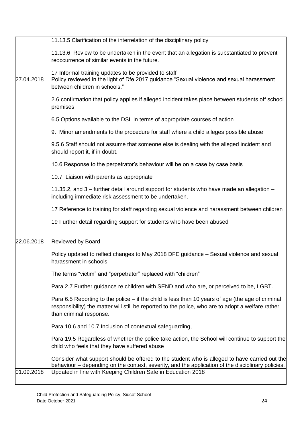|            | 11.13.5 Clarification of the interrelation of the disciplinary policy                                                                                                                                                                                              |
|------------|--------------------------------------------------------------------------------------------------------------------------------------------------------------------------------------------------------------------------------------------------------------------|
|            | 11.13.6 Review to be undertaken in the event that an allegation is substantiated to prevent<br>reoccurrence of similar events in the future.                                                                                                                       |
|            | 17 Informal training updates to be provided to staff                                                                                                                                                                                                               |
| 27.04.2018 | Policy reviewed in the light of Dfe 2017 guidance "Sexual violence and sexual harassment<br>between children in schools."                                                                                                                                          |
|            | 2.6 confirmation that policy applies if alleged incident takes place between students off school<br>premises                                                                                                                                                       |
|            | 6.5 Options available to the DSL in terms of appropriate courses of action                                                                                                                                                                                         |
|            | 9. Minor amendments to the procedure for staff where a child alleges possible abuse                                                                                                                                                                                |
|            | 9.5.6 Staff should not assume that someone else is dealing with the alleged incident and<br>should report it, if in doubt.                                                                                                                                         |
|            | 10.6 Response to the perpetrator's behaviour will be on a case by case basis                                                                                                                                                                                       |
|            | 10.7 Liaison with parents as appropriate                                                                                                                                                                                                                           |
|            | 11.35.2, and 3 – further detail around support for students who have made an allegation –<br>including immediate risk assessment to be undertaken.                                                                                                                 |
|            | 17 Reference to training for staff regarding sexual violence and harassment between children                                                                                                                                                                       |
|            | 19 Further detail regarding support for students who have been abused                                                                                                                                                                                              |
| 22.06.2018 | Reviewed by Board                                                                                                                                                                                                                                                  |
|            | Policy updated to reflect changes to May 2018 DFE guidance - Sexual violence and sexual<br>harassment in schools                                                                                                                                                   |
|            | The terms "victim" and "perpetrator" replaced with "children"                                                                                                                                                                                                      |
|            | Para 2.7 Further guidance re children with SEND and who are, or perceived to be, LGBT.                                                                                                                                                                             |
|            | Para 6.5 Reporting to the police – if the child is less than 10 years of age (the age of criminal<br>responsibility) the matter will still be reported to the police, who are to adopt a welfare rather<br>than criminal response.                                 |
|            | Para 10.6 and 10.7 Inclusion of contextual safeguarding,                                                                                                                                                                                                           |
|            | Para 19.5 Regardless of whether the police take action, the School will continue to support the<br>child who feels that they have suffered abuse                                                                                                                   |
| 01.09.2018 | Consider what support should be offered to the student who is alleged to have carried out the<br>behaviour – depending on the context, severity, and the application of the disciplinary policies.<br>Updated in line with Keeping Children Safe in Education 2018 |
|            |                                                                                                                                                                                                                                                                    |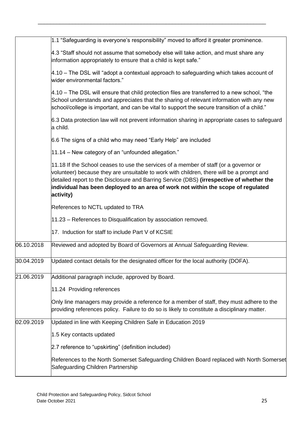|            | 1.1 "Safeguarding is everyone's responsibility" moved to afford it greater prominence.                                                                                                                                                                                                                                                                                          |
|------------|---------------------------------------------------------------------------------------------------------------------------------------------------------------------------------------------------------------------------------------------------------------------------------------------------------------------------------------------------------------------------------|
|            | 4.3 "Staff should not assume that somebody else will take action, and must share any<br>information appropriately to ensure that a child is kept safe."                                                                                                                                                                                                                         |
|            | $4.10$ – The DSL will "adopt a contextual approach to safeguarding which takes account of<br>wider environmental factors."                                                                                                                                                                                                                                                      |
|            | $4.10$ – The DSL will ensure that child protection files are transferred to a new school, "the<br>School understands and appreciates that the sharing of relevant information with any new<br>school/college is important, and can be vital to support the secure transition of a child."                                                                                       |
|            | 6.3 Data protection law will not prevent information sharing in appropriate cases to safeguard<br>a child.                                                                                                                                                                                                                                                                      |
|            | 6.6 The signs of a child who may need "Early Help" are included                                                                                                                                                                                                                                                                                                                 |
|            | 11.14 – New category of an "unfounded allegation."                                                                                                                                                                                                                                                                                                                              |
|            | 11.18 If the School ceases to use the services of a member of staff (or a governor or<br>volunteer) because they are unsuitable to work with children, there will be a prompt and<br>detailed report to the Disclosure and Barring Service (DBS) (irrespective of whether the<br>individual has been deployed to an area of work not within the scope of regulated<br>activity) |
|            | References to NCTL updated to TRA                                                                                                                                                                                                                                                                                                                                               |
|            | 11.23 – References to Disqualification by association removed.                                                                                                                                                                                                                                                                                                                  |
|            | 17. Induction for staff to include Part V of KCSIE                                                                                                                                                                                                                                                                                                                              |
| 06.10.2018 | Reviewed and adopted by Board of Governors at Annual Safeguarding Review.                                                                                                                                                                                                                                                                                                       |
| 30.04.2019 | Updated contact details for the designated officer for the local authority (DOFA).                                                                                                                                                                                                                                                                                              |
| 21.06.2019 | Additional paragraph include, approved by Board.                                                                                                                                                                                                                                                                                                                                |
|            | 11.24 Providing references                                                                                                                                                                                                                                                                                                                                                      |
|            | Only line managers may provide a reference for a member of staff, they must adhere to the<br>providing references policy. Failure to do so is likely to constitute a disciplinary matter.                                                                                                                                                                                       |
| 02.09.2019 | Updated in line with Keeping Children Safe in Education 2019                                                                                                                                                                                                                                                                                                                    |
|            | 1.5 Key contacts updated                                                                                                                                                                                                                                                                                                                                                        |
|            | 2.7 reference to "upskirting" (definition included)                                                                                                                                                                                                                                                                                                                             |
|            | References to the North Somerset Safeguarding Children Board replaced with North Somerset<br>Safeguarding Children Partnership                                                                                                                                                                                                                                                  |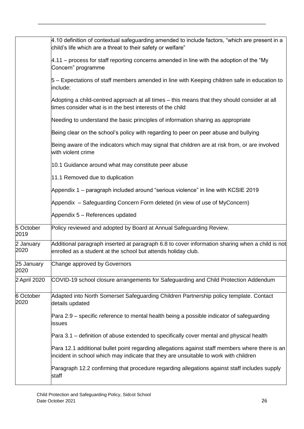|                    | 4.10 definition of contextual safeguarding amended to include factors, "which are present in a<br>child's life which are a threat to their safety or welfare"                           |
|--------------------|-----------------------------------------------------------------------------------------------------------------------------------------------------------------------------------------|
|                    | 4.11 – process for staff reporting concerns amended in line with the adoption of the "My<br>Concern" programme                                                                          |
|                    | 5 – Expectations of staff members amended in line with Keeping children safe in education to<br>include:                                                                                |
|                    | Adopting a child-centred approach at all times – this means that they should consider at all<br>times consider what is in the best interests of the child                               |
|                    | Needing to understand the basic principles of information sharing as appropriate                                                                                                        |
|                    | Being clear on the school's policy with regarding to peer on peer abuse and bullying                                                                                                    |
|                    | Being aware of the indicators which may signal that children are at risk from, or are involved<br>with violent crime                                                                    |
|                    | 10.1 Guidance around what may constitute peer abuse                                                                                                                                     |
|                    | 11.1 Removed due to duplication                                                                                                                                                         |
|                    | Appendix 1 – paragraph included around "serious violence" in line with KCSIE 2019                                                                                                       |
|                    | Appendix – Safeguarding Concern Form deleted (in view of use of MyConcern)                                                                                                              |
|                    | Appendix 5 – References updated                                                                                                                                                         |
| 5 October<br>2019  | Policy reviewed and adopted by Board at Annual Safeguarding Review.                                                                                                                     |
| 2 January<br>2020  | Additional paragraph inserted at paragraph 6.8 to cover information sharing when a child is not<br>enrolled as a student at the school but attends holiday club.                        |
| 25 January<br>2020 | Change approved by Governors                                                                                                                                                            |
| 2 April 2020       | COVID-19 school closure arrangements for Safeguarding and Child Protection Addendum                                                                                                     |
| 6 October<br>2020  | Adapted into North Somerset Safeguarding Children Partnership policy template. Contact<br>details updated                                                                               |
|                    | Para 2.9 – specific reference to mental health being a possible indicator of safeguarding<br>issues                                                                                     |
|                    | Para 3.1 – definition of abuse extended to specifically cover mental and physical health                                                                                                |
|                    | Para 12.1 additional bullet point regarding allegations against staff members where there is an<br>incident in school which may indicate that they are unsuitable to work with children |
|                    | Paragraph 12.2 confirming that procedure regarding allegations against staff includes supply<br>staff                                                                                   |
|                    |                                                                                                                                                                                         |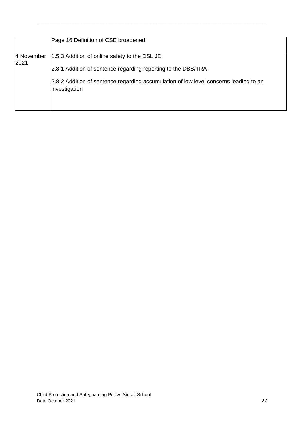|                    | Page 16 Definition of CSE broadened                                                                    |
|--------------------|--------------------------------------------------------------------------------------------------------|
| 4 November<br>2021 | 1.5.3 Addition of online safety to the DSL JD                                                          |
|                    | 2.8.1 Addition of sentence regarding reporting to the DBS/TRA                                          |
|                    | 2.8.2 Addition of sentence regarding accumulation of low level concerns leading to an<br>investigation |
|                    |                                                                                                        |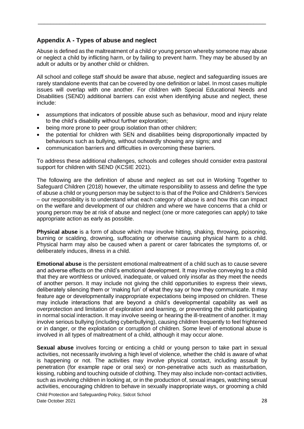## **Appendix A - Types of abuse and neglect**

Abuse is defined as the maltreatment of a child or young person whereby someone may abuse or neglect a child by inflicting harm, or by failing to prevent harm. They may be abused by an adult or adults or by another child or children.

\_\_\_\_\_\_\_\_\_\_\_\_\_\_\_\_\_\_\_\_\_\_\_\_\_\_\_\_\_\_\_\_\_\_\_\_\_\_\_\_\_\_\_\_\_\_\_\_\_\_\_\_\_\_\_\_\_\_\_\_\_\_\_\_\_\_\_\_\_\_\_\_\_

All school and college staff should be aware that abuse, neglect and safeguarding issues are rarely standalone events that can be covered by one definition or label. In most cases multiple issues will overlap with one another. For children with Special Educational Needs and Disabilities (SEND) additional barriers can exist when identifying abuse and neglect, these include:

- assumptions that indicators of possible abuse such as behaviour, mood and injury relate to the child's disability without further exploration;
- being more prone to peer group isolation than other children;
- the potential for children with SEN and disabilities being disproportionally impacted by behaviours such as bullying, without outwardly showing any signs; and
- communication barriers and difficulties in overcoming these barriers.

To address these additional challenges, schools and colleges should consider extra pastoral support for children with SEND (KCSIE 2021).

The following are the definition of abuse and neglect as set out in Working Together to Safeguard Children (2018) however, the ultimate responsibility to assess and define the type of abuse a child or young person may be subject to is that of the Police and Children's Services – our responsibility is to understand what each category of abuse is and how this can impact on the welfare and development of our children and where we have concerns that a child or young person may be at risk of abuse and neglect (one or more categories can apply) to take appropriate action as early as possible.

**Physical abuse** is a form of abuse which may involve hitting, shaking, throwing, poisoning, burning or scalding, drowning, suffocating or otherwise causing physical harm to a child. Physical harm may also be caused when a parent or carer fabricates the symptoms of, or deliberately induces, illness in a child.

**Emotional abuse** is the persistent emotional maltreatment of a child such as to cause severe and adverse effects on the child's emotional development. It may involve conveying to a child that they are worthless or unloved, inadequate, or valued only insofar as they meet the needs of another person. It may include not giving the child opportunities to express their views, deliberately silencing them or 'making fun' of what they say or how they communicate. It may feature age or developmentally inappropriate expectations being imposed on children. These may include interactions that are beyond a child's developmental capability as well as overprotection and limitation of exploration and learning, or preventing the child participating in normal social interaction. It may involve seeing or hearing the ill-treatment of another. It may involve serious bullying (including cyberbullying), causing children frequently to feel frightened or in danger, or the exploitation or corruption of children. Some level of emotional abuse is involved in all types of maltreatment of a child, although it may occur alone.

**Sexual abuse** involves forcing or enticing a child or young person to take part in sexual activities, not necessarily involving a high level of violence, whether the child is aware of what is happening or not. The activities may involve physical contact, including assault by penetration (for example rape or oral sex) or non-penetrative acts such as masturbation, kissing, rubbing and touching outside of clothing. They may also include non-contact activities, such as involving children in looking at, or in the production of, sexual images, watching sexual activities, encouraging children to behave in sexually inappropriate ways, or grooming a child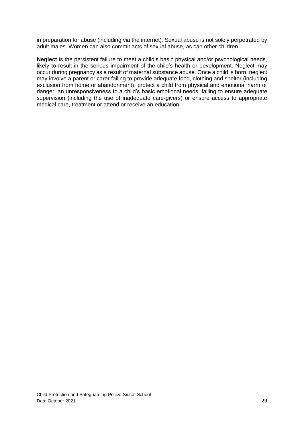in preparation for abuse (including via the internet). Sexual abuse is not solely perpetrated by adult males. Women can also commit acts of sexual abuse, as can other children.

\_\_\_\_\_\_\_\_\_\_\_\_\_\_\_\_\_\_\_\_\_\_\_\_\_\_\_\_\_\_\_\_\_\_\_\_\_\_\_\_\_\_\_\_\_\_\_\_\_\_\_\_\_\_\_\_\_\_\_\_\_\_\_\_\_\_\_\_\_\_\_\_\_

**Neglect** is the persistent failure to meet a child's basic physical and/or psychological needs, likely to result in the serious impairment of the child's health or development. Neglect may occur during pregnancy as a result of maternal substance abuse. Once a child is born, neglect may involve a parent or carer failing to provide adequate food, clothing and shelter (including exclusion from home or abandonment), protect a child from physical and emotional harm or danger, an unresponsiveness to a child's basic emotional needs, failing to ensure adequate supervision (including the use of inadequate care-givers) or ensure access to appropriate medical care, treatment or attend or receive an education.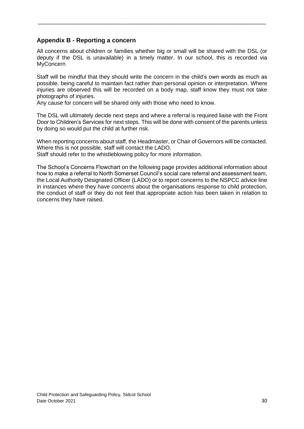## **Appendix B - Reporting a concern**

All concerns about children or families whether big or small will be shared with the DSL (or deputy if the DSL is unavailable) in a timely matter. In our school, this is recorded via **MyConcern** 

\_\_\_\_\_\_\_\_\_\_\_\_\_\_\_\_\_\_\_\_\_\_\_\_\_\_\_\_\_\_\_\_\_\_\_\_\_\_\_\_\_\_\_\_\_\_\_\_\_\_\_\_\_\_\_\_\_\_\_\_\_\_\_\_\_\_\_\_\_\_\_\_\_

Staff will be mindful that they should write the concern in the child's own words as much as possible, being careful to maintain fact rather than personal opinion or interpretation. Where injuries are observed this will be recorded on a body map, staff know they must not take photographs of injuries.

Any cause for concern will be shared only with those who need to know.

The DSL will ultimately decide next steps and where a referral is required liaise with the Front Door to Children's Services for next steps. This will be done with consent of the parents unless by doing so would put the child at further risk.

When reporting concerns about staff, the Headmaster, or Chair of Governors will be contacted. Where this is not possible, staff will contact the LADO. Staff should refer to the whistleblowing policy for more information.

The School's Concerns Flowchart on the following page provides additional information about how to make a referral to North Somerset Council's social care referral and assessment team, the Local Authority Designated Officer (LADO) or to report concerns to the NSPCC advice line in instances where they have concerns about the organisations response to child protection, the conduct of staff or they do not feel that appropriate action has been taken in relation to concerns they have raised.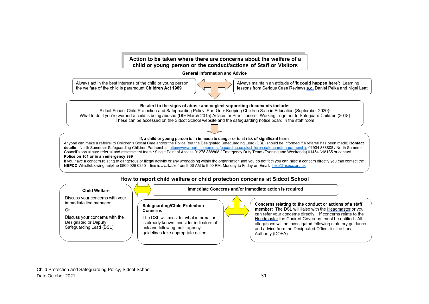### Action to be taken where there are concerns about the welfare of a child or young person or the conduct/actions of Staff or Visitors

\_\_\_\_\_\_\_\_\_\_\_\_\_\_\_\_\_\_\_\_\_\_\_\_\_\_\_\_\_\_\_\_\_\_\_\_\_\_\_\_\_\_\_\_\_\_\_\_\_\_\_\_\_\_\_\_\_\_\_\_\_\_\_\_\_\_\_\_\_\_\_\_\_

**General Information and Advice** 

Always act in the best interests of the child or young person: the welfare of the child is paramount Children Act 1989



Always maintain an attitude of 'it could happen here': Learning lessons from Serious Case Reviews e.g. Daniel Pelka and Nigel Leat

#### Be alert to the signs of abuse and neglect supporting documents include:

Sidcot School Child Protection and Safeguarding Policy; Part One: Keeping Children Safe in Education (September 2020): What to do if you're worried a child is being abused (DfE March 2015) Advice for Practitioners: Working Together to Safeguard Children (2018) These can be accessed on the Sidcot School website and the safeguarding notice board in the staff room

#### If, a child or young person is in immediate danger or is at risk of significant harm

Anyone can make a referral to Children's Social Care and/or the Police (but the Designated Safeguarding Lead (DSL) should be informed if a referral has been made). Contact details: North Somerset Safequarding Children Partnership https://www.northsomersetsafequarding.co.uk/children-safequarding-partnership 01934 888808 / North Somerset Council's social care referral and assessment team / Single Point of Access 01275 888808 / Emergency Duty Team (Evening and Weekends) 01454 618165 or contact Police on 101 or in an emergency 999

If you have a concern relating to dangerous or illegal activity or any wrongdoing within the organisation and you do not feel you can raise a concern directly you can contact the NSPCC Whistleblowing helpline 0800 028 0285 - line is available from 8:00 AM to 8:00 PM, Monday to Friday or Email: help@nspcc.org.uk

#### How to report child welfare or child protection concerns at Sidcot School

#### **Child Welfare**

Discuss your concerns with your immediate line manager

#### Or

Discuss your concerns with the Designated or Deputy Safeguarding Lead (DSL)

#### Immediate Concerns and/or immediate action is required

**Safeguarding/Child Protection Concerns** 

The DSL will consider what information is already known, consider indicators of risk and following multi-agency guidelines take appropriate action

Concerns relating to the conduct or actions of a staff member: The DSL will liaise with the Headmaster or you can refer your concerns directly. If concerns relate to the Headmaster the Chair of Governors must be notified. All allegations will be investigated following statutory guidance and advice from the Designated Officer for the Local Authority (DOFA)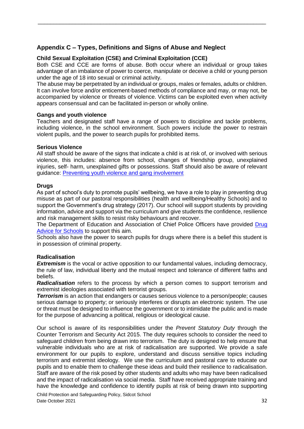## **Appendix C – Types, Definitions and Signs of Abuse and Neglect**

## **Child Sexual Exploitation (CSE) and Criminal Exploitation (CCE)**

Both CSE and CCE are forms of abuse. Both occur where an individual or group takes advantage of an imbalance of power to coerce, manipulate or deceive a child or young person under the age of 18 into sexual or criminal activity.

\_\_\_\_\_\_\_\_\_\_\_\_\_\_\_\_\_\_\_\_\_\_\_\_\_\_\_\_\_\_\_\_\_\_\_\_\_\_\_\_\_\_\_\_\_\_\_\_\_\_\_\_\_\_\_\_\_\_\_\_\_\_\_\_\_\_\_\_\_\_\_\_\_

The abuse may be perpetrated by an individual or groups, males or females, adults or children. It can involve force and/or enticement-based methods of compliance and may, or may not, be accompanied by violence or threats of violence. Victims can be exploited even when activity appears consensual and can be facilitated in-person or wholly online.

### **Gangs and youth violence**

Teachers and designated staff have a range of powers to discipline and tackle problems, including violence, in the school environment. Such powers include the power to restrain violent pupils, and the power to search pupils for prohibited items.

## **Serious Violence**

All staff should be aware of the signs that indicate a child is at risk of, or involved with serious violence, this includes: absence from school, changes of friendship group, unexplained injuries, self- harm, unexplained gifts or possessions. Staff should also be aware of relevant guidance: [Preventing youth violence and gang involvement](https://www.gov.uk/government/publications/advice-to-schools-and-colleges-on-gangs-and-youth-violence)

### **Drugs**

As part of school's duty to promote pupils' wellbeing, we have a role to play in preventing drug misuse as part of our pastoral responsibilities (health and wellbeing/Healthy Schools) and to support the Government's drug strategy (2017). Our school will support students by providing information, advice and support via the curriculum and give students the confidence, resilience and risk management skills to resist risky behaviours and recover.

The Department of Education and Association of Chief Police Officers have provided [Drug](https://assets.publishing.service.gov.uk/government/uploads/system/uploads/attachment_data/file/270169/drug_advice_for_schools.pdf)  [Advice for Schools](https://assets.publishing.service.gov.uk/government/uploads/system/uploads/attachment_data/file/270169/drug_advice_for_schools.pdf) to support this aim.

Schools also have the power to search pupils for drugs where there is a belief this student is in possession of criminal property.

## **Radicalisation**

**Extremism** is the vocal or active opposition to our fundamental values, including democracy, the rule of law, individual liberty and the mutual respect and tolerance of different faiths and beliefs.

*Radicalisation* refers to the process by which a person comes to support terrorism and extremist ideologies associated with terrorist groups.

*Terrorism* is an action that endangers or causes serious violence to a person/people; causes serious damage to property; or seriously interferes or disrupts an electronic system. The use or threat must be designed to influence the government or to intimidate the public and is made for the purpose of advancing a political, religious or ideological cause.

Our school is aware of its responsibilities under the *Prevent Statutory Duty* through the Counter Terrorism and Security Act 2015. The duty requires schools to consider the need to safeguard children from being drawn into terrorism. The duty is designed to help ensure that vulnerable individuals who are at risk of radicalisation are supported. We provide a safe environment for our pupils to explore, understand and discuss sensitive topics including terrorism and extremist ideology. We use the curriculum and pastoral care to educate our pupils and to enable them to challenge these ideas and build their resilience to radicalisation. Staff are aware of the risk posed by other students and adults who may have been radicalised and the impact of radicalisation via social media. Staff have received appropriate training and have the knowledge and confidence to identify pupils at risk of being drawn into supporting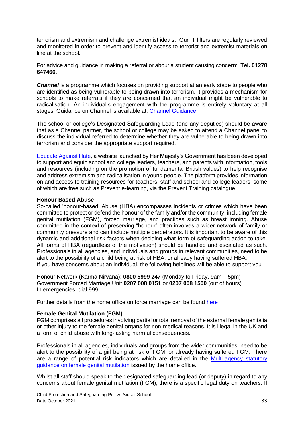terrorism and extremism and challenge extremist ideals. Our IT filters are regularly reviewed and monitored in order to prevent and identify access to terrorist and extremist materials on line at the school.

\_\_\_\_\_\_\_\_\_\_\_\_\_\_\_\_\_\_\_\_\_\_\_\_\_\_\_\_\_\_\_\_\_\_\_\_\_\_\_\_\_\_\_\_\_\_\_\_\_\_\_\_\_\_\_\_\_\_\_\_\_\_\_\_\_\_\_\_\_\_\_\_\_

For advice and guidance in making a referral or about a student causing concern: **Tel. 01278 647466.**

*Channel* is a programme which focuses on providing support at an early stage to people who are identified as being vulnerable to being drawn into terrorism. It provides a mechanism for schools to make referrals if they are concerned that an individual might be vulnerable to radicalisation. An individual's engagement with the programme is entirely voluntary at all stages. Guidance on Channel is available at: [Channel Guidance.](https://www.gov.uk/government/publications/channel-guidance)

The school or college's Designated Safeguarding Lead (and any deputies) should be aware that as a Channel partner, the school or college may be asked to attend a Channel panel to discuss the individual referred to determine whether they are vulnerable to being drawn into terrorism and consider the appropriate support required.

[Educate Against Hate,](https://educateagainsthate.com/) a website launched by Her Majesty's Government has been developed to support and equip school and college leaders, teachers, and parents with information, tools and resources (including on the promotion of fundamental British values) to help recognise and address extremism and radicalisation in young people. The platform provides information on and access to training resources for teachers, staff and school and college leaders, some of which are free such as Prevent e-learning, via the Prevent Training catalogue.

## **Honour Based Abuse**

So-called 'honour-based' Abuse (HBA) encompasses incidents or crimes which have been committed to protect or defend the honour of the family and/or the community, including female genital mutilation (FGM), forced marriage, and practices such as breast ironing. Abuse committed in the context of preserving "honour" often involves a wider network of family or community pressure and can include multiple perpetrators. It is important to be aware of this dynamic and additional risk factors when deciding what form of safeguarding action to take. All forms of HBA (regardless of the motivation) should be handled and escalated as such. Professionals in all agencies, and individuals and groups in relevant communities, need to be alert to the possibility of a child being at risk of HBA, or already having suffered HBA. If you have concerns about an individual, the following helplines will be able to support you

Honour Network (Karma Nirvana): **0800 5999 247** (Monday to Friday, 9am – 5pm) Government Forced Marriage Unit **0207 008 0151** or **0207 008 1500** (out of hours) In emergencies, dial 999.

Further details from the home office on force marriage can be found [here](https://www.gov.uk/stop-forced-marriage)

## **Female Genital Mutilation (FGM)**

FGM comprises all procedures involving partial or total removal of the external female genitalia or other injury to the female genital organs for non-medical reasons. It is illegal in the UK and a form of child abuse with long-lasting harmful consequences.

Professionals in all agencies, individuals and groups from the wider communities, need to be alert to the possibility of a girl being at risk of FGM, or already having suffered FGM. There are a range of potential risk indicators which are detailed in the [Multi-agency statutory](https://www.gov.uk/government/publications/multi-agency-statutory-guidance-on-female-genital-mutilation)  [guidance on female genital mutilation](https://www.gov.uk/government/publications/multi-agency-statutory-guidance-on-female-genital-mutilation) issued by the home office.

Whilst all staff should speak to the designated safeguarding lead (or deputy) in regard to any concerns about female genital mutilation (FGM), there is a specific legal duty on teachers. If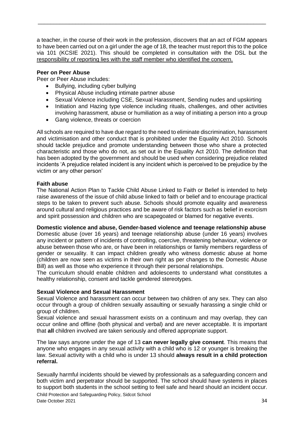a teacher, in the course of their work in the profession, discovers that an act of FGM appears to have been carried out on a girl under the age of 18, the teacher must report this to the police via 101 (KCSIE 2021). This should be completed in consultation with the DSL but the responsibility of reporting lies with the staff member who identified the concern.

\_\_\_\_\_\_\_\_\_\_\_\_\_\_\_\_\_\_\_\_\_\_\_\_\_\_\_\_\_\_\_\_\_\_\_\_\_\_\_\_\_\_\_\_\_\_\_\_\_\_\_\_\_\_\_\_\_\_\_\_\_\_\_\_\_\_\_\_\_\_\_\_\_

## **Peer on Peer Abuse**

Peer or Peer Abuse includes:

- Bullying, including cyber bullying
- Physical Abuse including intimate partner abuse
- Sexual Violence including CSE, Sexual Harassment, Sending nudes and upskirting
- Initiation and Hazing type violence including rituals, challenges, and other activities involving harassment, abuse or humiliation as a way of initiating a person into a group
- Gang violence, threats or coercion

All schools are required to have due regard to the need to eliminate discrimination, harassment and victimisation and other conduct that is prohibited under the Equality Act 2010. Schools should tackle prejudice and promote understanding between those who share a protected characteristic and those who do not, as set out in the Equality Act 2010. The definition that has been adopted by the government and should be used when considering prejudice related incidents 'A prejudice related incident is any incident which is perceived to be prejudice by the victim or any other person'

## **Faith abuse**

The National Action Plan to Tackle Child Abuse Linked to Faith or Belief is intended to help raise awareness of the issue of child abuse linked to faith or belief and to encourage practical steps to be taken to prevent such abuse. Schools should promote equality and awareness around cultural and religious practices and be aware of risk factors such as belief in exorcism and spirit possession and children who are scapegoated or blamed for negative events.

### **Domestic violence and abuse, Gender-based violence and teenage relationship abuse**

Domestic abuse (over 16 years) and teenage relationship abuse (under 16 years) involves any incident or pattern of incidents of controlling, coercive, threatening behaviour, violence or abuse between those who are, or have been in relationships or family members regardless of gender or sexuality. It can impact children greatly who witness domestic abuse at home (children are now seen as victims in their own right as per changes to the Domestic Abuse Bill) as well as those who experience it through their personal relationships.

The curriculum should enable children and adolescents to understand what constitutes a healthy relationship, consent and tackle gendered stereotypes.

## **Sexual Violence and Sexual Harassment**

Sexual Violence and harassment can occur between two children of any sex. They can also occur through a group of children sexually assaulting or sexually harassing a single child or group of children.

Sexual violence and sexual harassment exists on a continuum and may overlap, they can occur online and offline (both physical and verbal) and are never acceptable. It is important that **all** children involved are taken seriously and offered appropriate support.

The law says anyone under the age of 13 **can never legally give consent**. This means that anyone who engages in any sexual activity with a child who is 12 or younger is breaking the law. Sexual activity with a child who is under 13 should **always result in a child protection referral.**

Child Protection and Safeguarding Policy, Sidcot School Date October 2021 34 Sexually harmful incidents should be viewed by professionals as a safeguarding concern and both victim and perpetrator should be supported. The school should have systems in places to support both students in the school setting to feel safe and heard should an incident occur.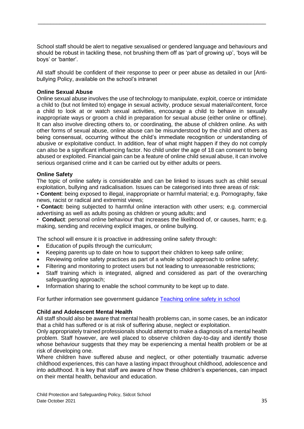School staff should be alert to negative sexualised or gendered language and behaviours and should be robust in tackling these, not brushing them off as 'part of growing up', 'boys will be boys' or 'banter'.

\_\_\_\_\_\_\_\_\_\_\_\_\_\_\_\_\_\_\_\_\_\_\_\_\_\_\_\_\_\_\_\_\_\_\_\_\_\_\_\_\_\_\_\_\_\_\_\_\_\_\_\_\_\_\_\_\_\_\_\_\_\_\_\_\_\_\_\_\_\_\_\_\_

All staff should be confident of their response to peer or peer abuse as detailed in our [Antibullying Policy, available on the school's intranet

### **Online Sexual Abuse**

Online sexual abuse involves the use of technology to manipulate, exploit, coerce or intimidate a child to (but not limited to) engage in sexual activity, produce sexual material/content, force a child to look at or watch sexual activities, encourage a child to behave in sexually inappropriate ways or groom a child in preparation for sexual abuse (either online or offline). It can also involve directing others to, or coordinating, the abuse of children online. As with other forms of sexual abuse, online abuse can be misunderstood by the child and others as being consensual, occurring without the child's immediate recognition or understanding of abusive or exploitative conduct. In addition, fear of what might happen if they do not comply can also be a significant influencing factor. No child under the age of 18 can consent to being abused or exploited. Financial gain can be a feature of online child sexual abuse, it can involve serious organised crime and it can be carried out by either adults or peers.

### **Online Safety**

The topic of online safety is considerable and can be linked to issues such as child sexual exploitation, bullying and radicalisation. Issues can be categorised into three areas of risk:

• **Content**: being exposed to illegal, inappropriate or harmful material; e.g. Pornography, fake news, racist or radical and extremist views;

• **Contact:** being subjected to harmful online interaction with other users; e.g. commercial advertising as well as adults posing as children or young adults; and

• **Conduct**: personal online behaviour that increases the likelihood of, or causes, harm; e.g. making, sending and receiving explicit images, or online bullying.

The school will ensure it is proactive in addressing online safety through:

- Education of pupils through the curriculum;
- Keeping parents up to date on how to support their children to keep safe online;
- Reviewing online safety practices as part of a whole school approach to online safety;
- Filtering and monitoring to protect users but not leading to unreasonable restrictions;
- Staff training which is integrated, aligned and considered as part of the overarching safeguarding approach;
- Information sharing to enable the school community to be kept up to date.

For further information see government guidance [Teaching online safety in school](https://www.gov.uk/government/publications/teaching-online-safety-in-schools)

### **Child and Adolescent Mental Health**

All staff should also be aware that mental health problems can, in some cases, be an indicator that a child has suffered or is at risk of suffering abuse, neglect or exploitation.

Only appropriately trained professionals should attempt to make a diagnosis of a mental health problem. Staff however, are well placed to observe children day-to-day and identify those whose behaviour suggests that they may be experiencing a mental health problem or be at risk of developing one.

Where children have suffered abuse and neglect, or other potentially traumatic adverse childhood experiences, this can have a lasting impact throughout childhood, adolescence and into adulthood. It is key that staff are aware of how these children's experiences, can impact on their mental health, behaviour and education.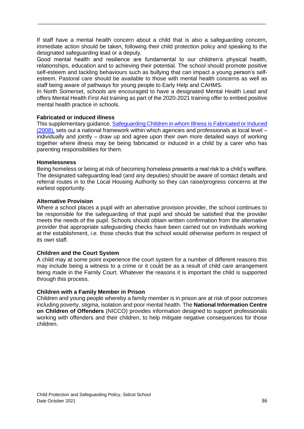If staff have a mental health concern about a child that is also a safeguarding concern, immediate action should be taken, following their child protection policy and speaking to the designated safeguarding lead or a deputy.

\_\_\_\_\_\_\_\_\_\_\_\_\_\_\_\_\_\_\_\_\_\_\_\_\_\_\_\_\_\_\_\_\_\_\_\_\_\_\_\_\_\_\_\_\_\_\_\_\_\_\_\_\_\_\_\_\_\_\_\_\_\_\_\_\_\_\_\_\_\_\_\_\_

Good mental health and resilience are fundamental to our children's physical health, relationships, education and to achieving their potential. The school should promote positive self-esteem and tackling behaviours such as bullying that can impact a young person's selfesteem. Pastoral care should be available to those with mental health concerns as well as staff being aware of pathways for young people to Early Help and CAHMS.

In North Somerset, schools are encouraged to have a designated Mental Health Lead and offers Mental Health First Aid training as part of the 2020-2021 training offer to embed positive mental health practice in schools.

## **Fabricated or induced illness**

This supplementary guidance, [Safeguarding Children in whom Illness is Fabricated or Induced](https://www.gov.uk/government/publications/safeguarding-children-in-whom-illness-is-fabricated-or-induced)  [\(2008\),](https://www.gov.uk/government/publications/safeguarding-children-in-whom-illness-is-fabricated-or-induced) sets out a national framework within which agencies and professionals at local level – individually and jointly – draw up and agree upon their own more detailed ways of working together where illness may be being fabricated or induced in a child by a carer who has parenting responsibilities for them.

### **Homelessness**

Being homeless or being at risk of becoming homeless presents a real risk to a child's welfare. The designated safeguarding lead (and any deputies) should be aware of contact details and referral routes in to the Local Housing Authority so they can raise/progress concerns at the earliest opportunity.

### **Alternative Provision**

Where a school places a pupil with an alternative provision provider, the school continues to be responsible for the safeguarding of that pupil and should be satisfied that the provider meets the needs of the pupil. Schools should obtain written confirmation from the alternative provider that appropriate safeguarding checks have been carried out on individuals working at the establishment, i.e. those checks that the school would otherwise perform in respect of its own staff.

## **Children and the Court System**

A child may at some point experience the court system for a number of different reasons this may include being a witness to a crime or it could be as a result of child care arrangement being made in the Family Court. Whatever the reasons it is important the child is supported through this process.

## **Children with a Family Member in Prison**

Children and young people whereby a family member is in prison are at risk of poor outcomes including poverty, stigma, isolation and poor mental health. The **National Information Centre on Children of Offenders** (NICCO) provides information designed to support professionals working with offenders and their children, to help mitigate negative consequences for those children.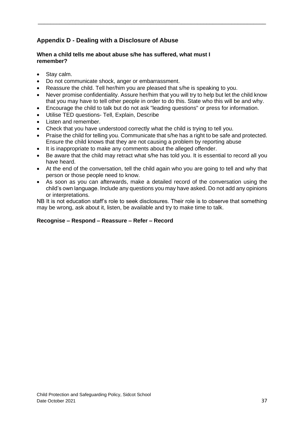## **Appendix D - Dealing with a Disclosure of Abuse**

## **When a child tells me about abuse s/he has suffered, what must I remember?**

- Stav calm.
- Do not communicate shock, anger or embarrassment.
- Reassure the child. Tell her/him you are pleased that s/he is speaking to you.
- Never promise confidentiality. Assure her/him that you will try to help but let the child know that you may have to tell other people in order to do this. State who this will be and why.

\_\_\_\_\_\_\_\_\_\_\_\_\_\_\_\_\_\_\_\_\_\_\_\_\_\_\_\_\_\_\_\_\_\_\_\_\_\_\_\_\_\_\_\_\_\_\_\_\_\_\_\_\_\_\_\_\_\_\_\_\_\_\_\_\_\_\_\_\_\_\_\_\_

- Encourage the child to talk but do not ask "leading questions" or press for information.
- Utilise TED questions- Tell, Explain, Describe
- Listen and remember.
- Check that you have understood correctly what the child is trying to tell you.
- Praise the child for telling you. Communicate that s/he has a right to be safe and protected. Ensure the child knows that they are not causing a problem by reporting abuse
- It is inappropriate to make any comments about the alleged offender.
- Be aware that the child may retract what s/he has told you. It is essential to record all you have heard.
- At the end of the conversation, tell the child again who you are going to tell and why that person or those people need to know.
- As soon as you can afterwards, make a detailed record of the conversation using the child's own language. Include any questions you may have asked. Do not add any opinions or interpretations.

NB It is not education staff's role to seek disclosures. Their role is to observe that something may be wrong, ask about it, listen, be available and try to make time to talk.

## **Recognise – Respond – Reassure – Refer – Record**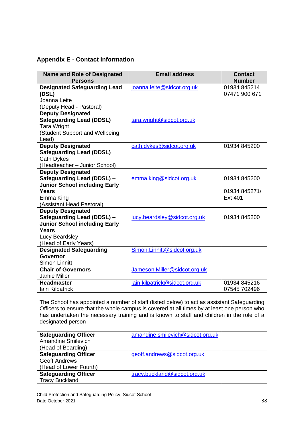## **Appendix E - Contact Information**

| <b>Name and Role of Designated</b><br><b>Persons</b> | <b>Email address</b>          | <b>Contact</b><br><b>Number</b> |
|------------------------------------------------------|-------------------------------|---------------------------------|
| <b>Designated Safeguarding Lead</b>                  | joanna.leite@sidcot.org.uk    | 01934 845214                    |
| (DSL)                                                |                               | 07471 900 671                   |
| Joanna Leite                                         |                               |                                 |
| (Deputy Head - Pastoral)                             |                               |                                 |
| <b>Deputy Designated</b>                             |                               |                                 |
| <b>Safeguarding Lead (DDSL)</b>                      | tara.wright@sidcot.org.uk     |                                 |
| <b>Tara Wright</b>                                   |                               |                                 |
| (Student Support and Wellbeing                       |                               |                                 |
| Lead)                                                |                               |                                 |
| <b>Deputy Designated</b>                             | cath.dykes@sidcot.org.uk      | 01934 845200                    |
| <b>Safeguarding Lead (DDSL)</b>                      |                               |                                 |
| <b>Cath Dykes</b>                                    |                               |                                 |
| (Headteacher - Junior School)                        |                               |                                 |
| <b>Deputy Designated</b>                             |                               |                                 |
| Safeguarding Lead (DDSL) -                           | emma.king@sidcot.org.uk       | 01934 845200                    |
| <b>Junior School including Early</b>                 |                               |                                 |
| <b>Years</b>                                         |                               | 01934 845271/                   |
| Emma King                                            |                               | <b>Ext 401</b>                  |
| (Assistant Head Pastoral)                            |                               |                                 |
| <b>Deputy Designated</b>                             |                               |                                 |
| Safeguarding Lead (DDSL) -                           | lucy.beardsley@sidcot.org.uk  | 01934 845200                    |
| <b>Junior School including Early</b>                 |                               |                                 |
| Years                                                |                               |                                 |
| Lucy Beardsley                                       |                               |                                 |
| (Head of Early Years)                                |                               |                                 |
| <b>Designated Safeguarding</b>                       | Simon.Linnitt@sidcot.org.uk   |                                 |
| Governor                                             |                               |                                 |
| <b>Simon Linnitt</b>                                 |                               |                                 |
| <b>Chair of Governors</b>                            | Jameson.Miller@sidcot.org.uk  |                                 |
| <b>Jamie Miller</b>                                  |                               |                                 |
| <b>Headmaster</b>                                    | iain.kilpatrick@sidcot.org.uk | 01934 845216                    |
| <b>lain Kilpatrick</b>                               |                               | 07545 702496                    |

\_\_\_\_\_\_\_\_\_\_\_\_\_\_\_\_\_\_\_\_\_\_\_\_\_\_\_\_\_\_\_\_\_\_\_\_\_\_\_\_\_\_\_\_\_\_\_\_\_\_\_\_\_\_\_\_\_\_\_\_\_\_\_\_\_\_\_\_\_\_\_\_\_

The School has appointed a number of staff (listed below) to act as assistant Safeguarding Officers to ensure that the whole campus is covered at all times by at least one person who has undertaken the necessary training and is known to staff and children in the role of a designated person

| <b>Safeguarding Officer</b> | amandine.smilevich@sidcot.org.uk |  |
|-----------------------------|----------------------------------|--|
| <b>Amandine Smilevich</b>   |                                  |  |
| (Head of Boarding)          |                                  |  |
| <b>Safeguarding Officer</b> | geoff.andrews@sidcot.org.uk      |  |
| <b>Geoff Andrews</b>        |                                  |  |
| (Head of Lower Fourth)      |                                  |  |
| <b>Safeguarding Officer</b> | tracy.buckland@sidcot.org.uk     |  |
| <b>Tracy Buckland</b>       |                                  |  |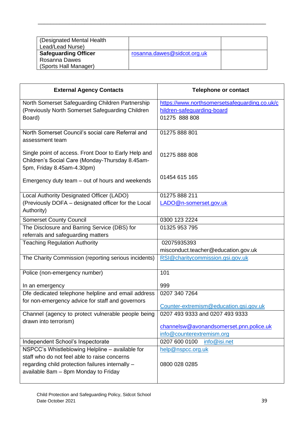| (Designated Mental Health)<br>Lead/Lead Nurse) |                             |  |
|------------------------------------------------|-----------------------------|--|
| <b>Safeguarding Officer</b>                    | rosanna.dawes@sidcot.org.uk |  |
| Rosanna Dawes                                  |                             |  |
| (Sports Hall Manager)                          |                             |  |

| <b>External Agency Contacts</b>                                                                                                       | <b>Telephone or contact</b>                                |
|---------------------------------------------------------------------------------------------------------------------------------------|------------------------------------------------------------|
| North Somerset Safeguarding Children Partnership                                                                                      | https://www.northsomersetsafeguarding.co.uk/c              |
| (Previously North Somerset Safeguarding Children                                                                                      | hildren-safeguarding-board                                 |
| Board)                                                                                                                                | 01275 888 808                                              |
|                                                                                                                                       |                                                            |
| North Somerset Council's social care Referral and<br>assessment team                                                                  | 01275 888 801                                              |
| Single point of access. Front Door to Early Help and<br>Children's Social Care (Monday-Thursday 8.45am-<br>5pm, Friday 8.45am-4.30pm) | 01275 888 808                                              |
| Emergency duty team – out of hours and weekends                                                                                       | 01454 615 165                                              |
| Local Authority Designated Officer (LADO)                                                                                             | 01275 888 211                                              |
| (Previously DOFA - designated officer for the Local                                                                                   | LADO@n-somerset.gov.uk                                     |
| Authority)                                                                                                                            |                                                            |
| <b>Somerset County Council</b>                                                                                                        | 0300 123 2224                                              |
| The Disclosure and Barring Service (DBS) for                                                                                          | 01325 953 795                                              |
| referrals and safeguarding matters                                                                                                    |                                                            |
| <b>Teaching Regulation Authority</b>                                                                                                  | 02075935393                                                |
|                                                                                                                                       | misconduct.teacher@education.gov.uk                        |
| The Charity Commission (reporting serious incidents)                                                                                  | RSI@charitycommission.gsi.gov.uk                           |
| Police (non-emergency number)                                                                                                         | 101                                                        |
|                                                                                                                                       | 999                                                        |
| In an emergency<br>Dfe dedicated telephone helpline and email address                                                                 | 0207 340 7264                                              |
| for non-emergency advice for staff and governors                                                                                      |                                                            |
|                                                                                                                                       | Counter-extremism@education.gsi.gov.uk                     |
| Channel (agency to protect vulnerable people being                                                                                    | 0207 493 9333 and 0207 493 9333                            |
| drawn into terrorism)                                                                                                                 |                                                            |
|                                                                                                                                       | channelsw@avonandsomerset.pnn.police.uk                    |
| Independent School's Inspectorate                                                                                                     | info@counterextremism.org<br>0207 600 0100<br>info@isi.net |
| NSPCC's Whistleblowing Helpline - available for                                                                                       | help@nspcc.org.uk                                          |
| staff who do not feel able to raise concerns                                                                                          |                                                            |
| regarding child protection failures internally -                                                                                      | 0800 028 0285                                              |
| available 8am - 8pm Monday to Friday                                                                                                  |                                                            |
|                                                                                                                                       |                                                            |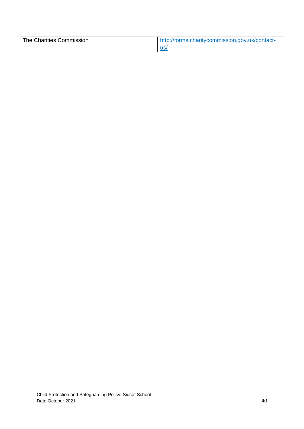| The Charities Commission | http://forms.charitycommission.gov.uk/contact- |
|--------------------------|------------------------------------------------|
|                          | <b>US</b>                                      |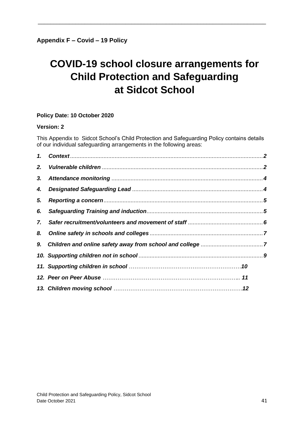# **COVID-19 school closure arrangements for Child Protection and Safeguarding at Sidcot School**

\_\_\_\_\_\_\_\_\_\_\_\_\_\_\_\_\_\_\_\_\_\_\_\_\_\_\_\_\_\_\_\_\_\_\_\_\_\_\_\_\_\_\_\_\_\_\_\_\_\_\_\_\_\_\_\_\_\_\_\_\_\_\_\_\_\_\_\_\_\_\_\_\_

## **Policy Date: 10 October 2020**

## **Version: 2**

This Appendix to Sidcot School's Child Protection and Safeguarding Policy contains details of our individual safeguarding arrangements in the following areas:

| 1. |  |
|----|--|
| 2. |  |
| 3. |  |
| 4. |  |
| 5. |  |
| 6. |  |
| 7. |  |
| 8. |  |
|    |  |
|    |  |
|    |  |
|    |  |
|    |  |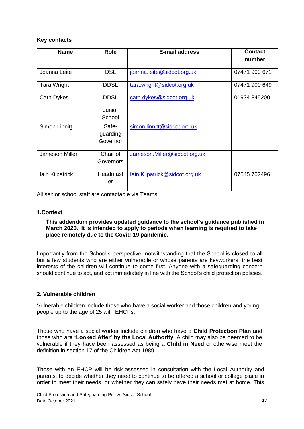## **Key contacts**

| <b>Name</b>            | <b>Role</b>                     | <b>E-mail address</b>         | <b>Contact</b><br>number |
|------------------------|---------------------------------|-------------------------------|--------------------------|
| Joanna Leite           | <b>DSL</b>                      | joanna.leite@sidcot.org.uk    | 07471 900 671            |
| Tara Wright            | <b>DDSL</b>                     | tara.wright@sidcot.org.uk     | 07471 900 649            |
| Cath Dykes             | <b>DDSL</b><br>Junior<br>School | cath.dykes@sidcot.org.uk      | 01934 845200             |
| Simon Linnitt          | Safe-<br>guarding<br>Governor   | simon.linnitt@sidcot.org.uk   |                          |
| Jameson Miller         | Chair of<br>Governors           | Jameson.Miller@sidcot.org.uk  |                          |
| <b>lain Kilpatrick</b> | Headmast<br>er                  | lain.Kilpatrick@sidcot.org.uk | 07545 702496             |

\_\_\_\_\_\_\_\_\_\_\_\_\_\_\_\_\_\_\_\_\_\_\_\_\_\_\_\_\_\_\_\_\_\_\_\_\_\_\_\_\_\_\_\_\_\_\_\_\_\_\_\_\_\_\_\_\_\_\_\_\_\_\_\_\_\_\_\_\_\_\_\_\_

All senior school staff are contactable via Teams

## **1.Context**

### **This addendum provides updated guidance to the school's guidance published in March 2020. It is intended to apply to periods when learning is required to take place remotely due to the Covid-19 pandemic.**

Importantly from the School's perspective, notwithstanding that the School is closed to all but a few students who are either vulnerable or whose parents are keyworkers, the best interests of the children will continue to come first. Anyone with a safeguarding concern should continue to act, and act immediately in line with the School's child protection policies.

## **2. Vulnerable children**

Vulnerable children include those who have a social worker and those children and young people up to the age of 25 with EHCPs.

Those who have a social worker include children who have a **Child Protection Plan** and those who **are 'Looked After' by the Local Authority**. A child may also be deemed to be vulnerable if they have been assessed as being a **Child in Need** or otherwise meet the definition in section 17 of the Children Act 1989.

Those with an EHCP will be risk-assessed in consultation with the Local Authority and parents, to decide whether they need to continue to be offered a school or college place in order to meet their needs, or whether they can safely have their needs met at home. This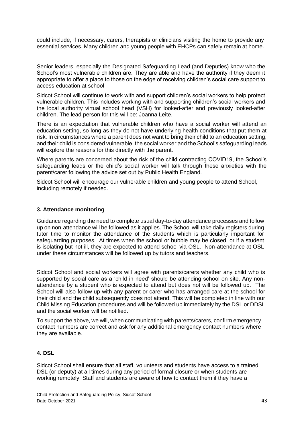could include, if necessary, carers, therapists or clinicians visiting the home to provide any essential services. Many children and young people with EHCPs can safely remain at home.

\_\_\_\_\_\_\_\_\_\_\_\_\_\_\_\_\_\_\_\_\_\_\_\_\_\_\_\_\_\_\_\_\_\_\_\_\_\_\_\_\_\_\_\_\_\_\_\_\_\_\_\_\_\_\_\_\_\_\_\_\_\_\_\_\_\_\_\_\_\_\_\_\_

Senior leaders, especially the Designated Safeguarding Lead (and Deputies) know who the School's most vulnerable children are. They are able and have the authority if they deem it appropriate to offer a place to those on the edge of receiving children's social care support to access education at school

Sidcot School will continue to work with and support children's social workers to help protect vulnerable children. This includes working with and supporting children's social workers and the local authority virtual school head (VSH) for looked-after and previously looked-after children. The lead person for this will be: Joanna Leite.

There is an expectation that vulnerable children who have a social worker will attend an education setting, so long as they do not have underlying health conditions that put them at risk. In circumstances where a parent does not want to bring their child to an education setting, and their child is considered vulnerable, the social worker and the School's safeguarding leads will explore the reasons for this directly with the parent.

Where parents are concerned about the risk of the child contracting COVID19, the School's safeguarding leads or the child's social worker will talk through these anxieties with the parent/carer following the advice set out by Public Health England.

Sidcot School will encourage our vulnerable children and young people to attend School, including remotely if needed.

## **3. Attendance monitoring**

Guidance regarding the need to complete usual day-to-day attendance processes and follow up on non-attendance will be followed as it applies. The School will take daily registers during tutor time to monitor the attendance of the students which is particularly important for safeguarding purposes. At times when the school or bubble may be closed, or if a student is isolating but not ill, they are expected to attend school via OSL. Non-attendance at OSL under these circumstances will be followed up by tutors and teachers.

Sidcot School and social workers will agree with parents/carers whether any child who is supported by social care as a 'child in need' should be attending school on site. Any nonattendance by a student who is expected to attend but does not will be followed up. The School will also follow up with any parent or carer who has arranged care at the school for their child and the child subsequently does not attend. This will be completed in line with our Child Missing Education procedures and will be followed up immediately by the DSL or DDSL and the social worker will be notified.

To support the above, we will, when communicating with parents/carers, confirm emergency contact numbers are correct and ask for any additional emergency contact numbers where they are available.

## **4. DSL**

Sidcot School shall ensure that all staff, volunteers and students have access to a trained DSL (or deputy) at all times during any period of formal closure or when students are working remotely. Staff and students are aware of how to contact them if they have a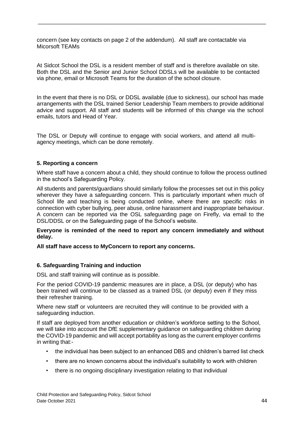concern (see key contacts on page 2 of the addendum). All staff are contactable via Micorsoft TEAMs

At Sidcot School the DSL is a resident member of staff and is therefore available on site. Both the DSL and the Senior and Junior School DDSLs will be available to be contacted via phone, email or Microsoft Teams for the duration of the school closure.

\_\_\_\_\_\_\_\_\_\_\_\_\_\_\_\_\_\_\_\_\_\_\_\_\_\_\_\_\_\_\_\_\_\_\_\_\_\_\_\_\_\_\_\_\_\_\_\_\_\_\_\_\_\_\_\_\_\_\_\_\_\_\_\_\_\_\_\_\_\_\_\_\_

In the event that there is no DSL or DDSL available (due to sickness), our school has made arrangements with the DSL trained Senior Leadership Team members to provide additional advice and support. All staff and students will be informed of this change via the school emails, tutors and Head of Year.

The DSL or Deputy will continue to engage with social workers, and attend all multiagency meetings, which can be done remotely.

## **5. Reporting a concern**

Where staff have a concern about a child, they should continue to follow the process outlined in the school's Safeguarding Policy.

All students and parents/guardians should similarly follow the processes set out in this policy wherever they have a safeguarding concern. This is particularly important when much of School life and teaching is being conducted online, where there are specific risks in connection with cyber bullying, peer abuse, online harassment and inappropriate behaviour. A concern can be reported via the OSL safeguarding page on Firefly, via email to the DSL/DDSL or on the Safeguarding page of the School's website.

**Everyone is reminded of the need to report any concern immediately and without delay.**

## **All staff have access to MyConcern to report any concerns.**

## **6. Safeguarding Training and induction**

DSL and staff training will continue as is possible.

For the period COVID-19 pandemic measures are in place, a DSL (or deputy) who has been trained will continue to be classed as a trained DSL (or deputy) even if they miss their refresher training.

Where new staff or volunteers are recruited they will continue to be provided with a safeguarding induction.

If staff are deployed from another education or children's workforce setting to the School, we will take into account the DfE supplementary guidance on safeguarding children during the COVID-19 pandemic and will accept portability as long as the current employer confirms in writing that:-

- the individual has been subject to an enhanced DBS and children's barred list check
- there are no known concerns about the individual's suitability to work with children
- there is no ongoing disciplinary investigation relating to that individual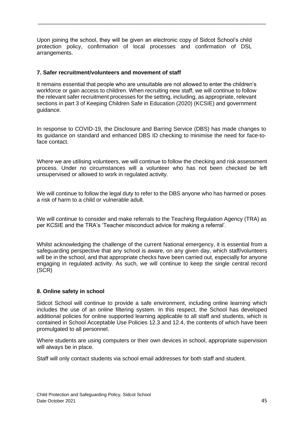Upon joining the school, they will be given an electronic copy of Sidcot School's child protection policy, confirmation of local processes and confirmation of DSL arrangements.

\_\_\_\_\_\_\_\_\_\_\_\_\_\_\_\_\_\_\_\_\_\_\_\_\_\_\_\_\_\_\_\_\_\_\_\_\_\_\_\_\_\_\_\_\_\_\_\_\_\_\_\_\_\_\_\_\_\_\_\_\_\_\_\_\_\_\_\_\_\_\_\_\_

## **7. Safer recruitment/volunteers and movement of staff**

It remains essential that people who are unsuitable are not allowed to enter the children's workforce or gain access to children. When recruiting new staff, we will continue to follow the relevant safer recruitment processes for the setting, including, as appropriate, relevant sections in part 3 of Keeping Children Safe in Education (2020) (KCSIE) and government guidance.

In response to COVID-19, the Disclosure and Barring Service (DBS) has made changes to its guidance on standard and enhanced DBS ID checking to minimise the need for face-toface contact.

Where we are utilising volunteers, we will continue to follow the checking and risk assessment process. Under no circumstances will a volunteer who has not been checked be left unsupervised or allowed to work in regulated activity.

We will continue to follow the legal duty to refer to the DBS anyone who has harmed or poses a risk of harm to a child or vulnerable adult.

We will continue to consider and make referrals to the Teaching Regulation Agency (TRA) as per KCSIE and the TRA's 'Teacher misconduct advice for making a referral'.

Whilst acknowledging the challenge of the current National emergency, it is essential from a safeguarding perspective that any school is aware, on any given day, which staff/volunteers will be in the school, and that appropriate checks have been carried out, especially for anyone engaging in regulated activity. As such, we will continue to keep the single central record (SCR)

## **8. Online safety in school**

Sidcot School will continue to provide a safe environment, including online learning which includes the use of an online filtering system. In this respect, the School has developed additional policies for online supported learning applicable to all staff and students, which is contained in School Acceptable Use Policies 12.3 and 12.4, the contents of which have been promulgated to all personnel.

Where students are using computers or their own devices in school, appropriate supervision will always be in place.

Staff will only contact students via school email addresses for both staff and student.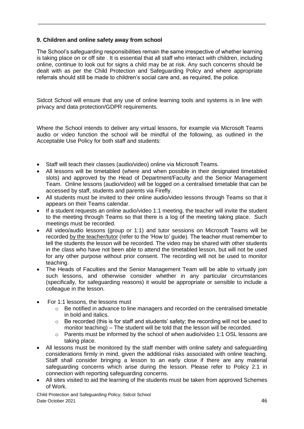## **9. Children and online safety away from school**

The School's safeguarding responsibilities remain the same irrespective of whether learning is taking place on or off site . It is essential that all staff who interact with children, including online, continue to look out for signs a child may be at risk. Any such concerns should be dealt with as per the Child Protection and Safeguarding Policy and where appropriate referrals should still be made to children's social care and, as required, the police.

\_\_\_\_\_\_\_\_\_\_\_\_\_\_\_\_\_\_\_\_\_\_\_\_\_\_\_\_\_\_\_\_\_\_\_\_\_\_\_\_\_\_\_\_\_\_\_\_\_\_\_\_\_\_\_\_\_\_\_\_\_\_\_\_\_\_\_\_\_\_\_\_\_

Sidcot School will ensure that any use of online learning tools and systems is in line with privacy and data protection/GDPR requirements.

Where the School intends to deliver any virtual lessons, for example via Microsoft Teams audio or video function the school will be mindful of the following, as outlined in the Acceptable Use Policy for both staff and students:

- Staff will teach their classes (audio/video) online via Microsoft Teams.
- All lessons will be timetabled (where and when possible in their designated timetabled slots) and approved by the Head of Department/Faculty and the Senior Management Team. Online lessons (audio/video) will be logged on a centralised timetable that can be accessed by staff, students and parents via Firefly.
- All students must be invited to their online audio/video lessons through Teams so that it appears on their Teams calendar.
- If a student requests an online audio/video 1:1 meeting, the teacher will invite the student to the meeting through Teams so that there is a log of the meeting taking place. Such meetings must be recorded.
- All video/audio lessons (group or 1:1) and tutor sessions on Microsoft Teams will be recorded by the teacher/tutor (refer to the 'How to' guide). The teacher must remember to tell the students the lesson will be recorded. The video may be shared with other students in the class who have not been able to attend the timetabled lesson, but will not be used for any other purpose without prior consent. The recording will not be used to monitor teaching.
- The Heads of Faculties and the Senior Management Team will be able to virtually join such lessons, and otherwise consider whether in any particular circumstances (specifically, for safeguarding reasons) it would be appropriate or sensible to include a colleague in the lesson.
- For 1:1 lessons, the lessons must
	- o Be notified in advance to line managers and recorded on the centralised timetable in bold and italics.
	- o Be recorded (this is for staff and students' safety; the recording will not be used to monitor teaching) – The student will be told that the lesson will be recorded.
	- o Parents must be informed by the school of when audio/video 1:1 OSL lessons are taking place.
- All lessons must be monitored by the staff member with online safety and safeguarding considerations firmly in mind, given the additional risks associated with online teaching. Staff shall consider bringing a lesson to an early close if there are any material safeguarding concerns which arise during the lesson. Please refer to Policy 2.1 in connection with reporting safeguarding concerns.
- All sites visited to aid the learning of the students must be taken from approved Schemes of Work.

Child Protection and Safeguarding Policy, Sidcot School Date October 2021 46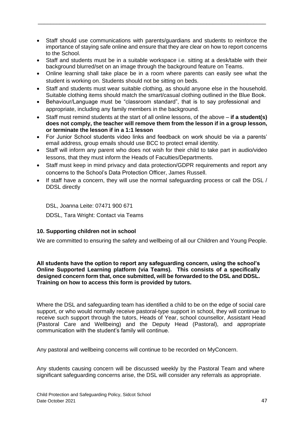• Staff should use communications with parents/guardians and students to reinforce the importance of staying safe online and ensure that they are clear on how to report concerns to the School.

\_\_\_\_\_\_\_\_\_\_\_\_\_\_\_\_\_\_\_\_\_\_\_\_\_\_\_\_\_\_\_\_\_\_\_\_\_\_\_\_\_\_\_\_\_\_\_\_\_\_\_\_\_\_\_\_\_\_\_\_\_\_\_\_\_\_\_\_\_\_\_\_\_

- Staff and students must be in a suitable workspace i.e. sitting at a desk/table with their background blurred/set on an image through the background feature on Teams.
- Online learning shall take place be in a room where parents can easily see what the student is working on. Students should not be sitting on beds.
- Staff and students must wear suitable clothing, as should anyone else in the household. Suitable clothing items should match the smart/casual clothing outlined in the Blue Book.
- Behaviour/Language must be "classroom standard", that is to say professional and appropriate, including any family members in the background.
- Staff must remind students at the start of all online lessons, of the above **if a student(s) does not comply, the teacher will remove them from the lesson if in a group lesson, or terminate the lesson if in a 1:1 lesson**
- For Junior School students video links and feedback on work should be via a parents' email address, group emails should use BCC to protect email identity.
- Staff will inform any parent who does not wish for their child to take part in audio/video lessons, that they must inform the Heads of Faculties/Departments.
- Staff must keep in mind privacy and data protection/GDPR requirements and report any concerns to the School's Data Protection Officer, James Russell.
- If staff have a concern, they will use the normal safeguarding process or call the DSL / DDSL directly

DSL, Joanna Leite: 07471 900 671

DDSL, Tara Wright: Contact via Teams

## **10. Supporting children not in school**

We are committed to ensuring the safety and wellbeing of all our Children and Young People.

**All students have the option to report any safeguarding concern, using the school's Online Supported Learning platform (via Teams). This consists of a specifically designed concern form that, once submitted, will be forwarded to the DSL and DDSL. Training on how to access this form is provided by tutors.** 

Where the DSL and safeguarding team has identified a child to be on the edge of social care support, or who would normally receive pastoral-type support in school, they will continue to receive such support through the tutors, Heads of Year, school counsellor, Assistant Head (Pastoral Care and Wellbeing) and the Deputy Head (Pastoral), and appropriate communication with the student's family will continue.

Any pastoral and wellbeing concerns will continue to be recorded on MyConcern.

Any students causing concern will be discussed weekly by the Pastoral Team and where significant safeguarding concerns arise, the DSL will consider any referrals as appropriate.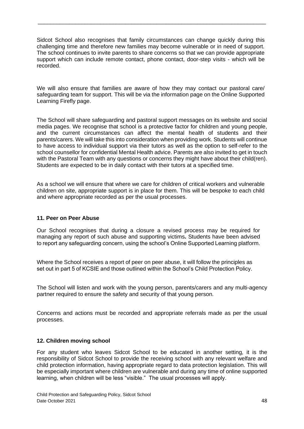Sidcot School also recognises that family circumstances can change quickly during this challenging time and therefore new families may become vulnerable or in need of support. The school continues to invite parents to share concerns so that we can provide appropriate support which can include remote contact, phone contact, door-step visits - which will be recorded.

\_\_\_\_\_\_\_\_\_\_\_\_\_\_\_\_\_\_\_\_\_\_\_\_\_\_\_\_\_\_\_\_\_\_\_\_\_\_\_\_\_\_\_\_\_\_\_\_\_\_\_\_\_\_\_\_\_\_\_\_\_\_\_\_\_\_\_\_\_\_\_\_\_

We will also ensure that families are aware of how they may contact our pastoral care/ safeguarding team for support. This will be via the information page on the Online Supported Learning Firefly page.

The School will share safeguarding and pastoral support messages on its website and social media pages. We recognise that school is a protective factor for children and young people, and the current circumstances can affect the mental health of students and their parents/carers. We will take this into consideration when providing work. Students will continue to have access to individual support via their tutors as well as the option to self-refer to the school counsellor for confidential Mental Health advice. Parents are also invited to get in touch with the Pastoral Team with any questions or concerns they might have about their child(ren). Students are expected to be in daily contact with their tutors at a specified time.

As a school we will ensure that where we care for children of critical workers and vulnerable children on site, appropriate support is in place for them. This will be bespoke to each child and where appropriate recorded as per the usual processes.

## **11. Peer on Peer Abuse**

Our School recognises that during a closure a revised process may be required for managing any report of such abuse and supporting victims**.** Students have been advised to report any safeguarding concern, using the school's Online Supported Learning platform.

Where the School receives a report of peer on peer abuse, it will follow the principles as set out in part 5 of KCSIE and those outlined within the School's Child Protection Policy.

The School will listen and work with the young person, parents/carers and any multi-agency partner required to ensure the safety and security of that young person.

Concerns and actions must be recorded and appropriate referrals made as per the usual processes.

## **12. Children moving school**

For any student who leaves Sidcot School to be educated in another setting, it is the responsibility of Sidcot School to provide the receiving school with any relevant welfare and child protection information, having appropriate regard to data protection legislation. This will be especially important where children are vulnerable and during any time of online supported learning, when children will be less "visible." The usual processes will apply.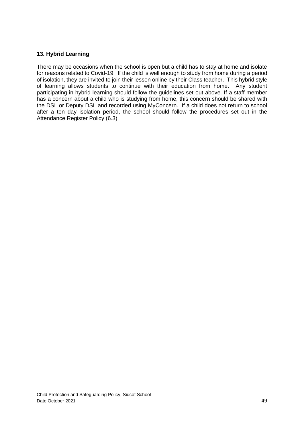## **13. Hybrid Learning**

There may be occasions when the school is open but a child has to stay at home and isolate for reasons related to Covid-19. If the child is well enough to study from home during a period of isolation, they are invited to join their lesson online by their Class teacher. This hybrid style of learning allows students to continue with their education from home. Any student participating in hybrid learning should follow the guidelines set out above. If a staff member has a concern about a child who is studying from home, this concern should be shared with the DSL or Deputy DSL and recorded using MyConcern. If a child does not return to school after a ten day isolation period, the school should follow the procedures set out in the Attendance Register Policy (6.3).